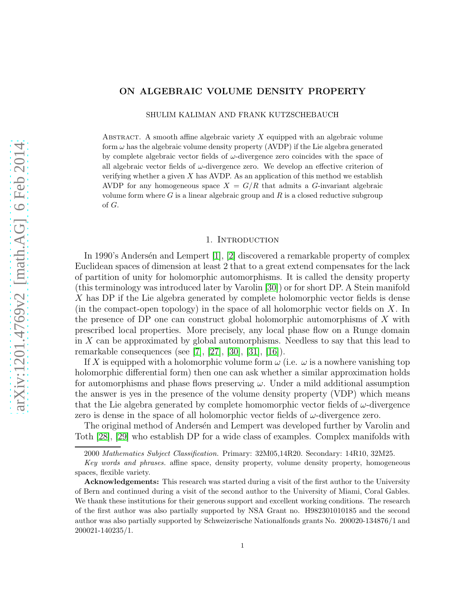### ON ALGEBRAIC VOLUME DENSITY PROPERTY

SHULIM KALIMAN AND FRANK KUTZSCHEBAUCH

ABSTRACT. A smooth affine algebraic variety  $X$  equipped with an algebraic volume form  $\omega$  has the algebraic volume density property (AVDP) if the Lie algebra generated by complete algebraic vector fields of  $\omega$ -divergence zero coincides with the space of all algebraic vector fields of  $\omega$ -divergence zero. We develop an effective criterion of verifying whether a given  $X$  has AVDP. As an application of this method we establish AVDP for any homogeneous space  $X = G/R$  that admits a G-invariant algebraic volume form where G is a linear algebraic group and  $R$  is a closed reductive subgroup of G.

#### 1. INTRODUCTION

In 1990's Andersén and Lempert  $[1]$ ,  $[2]$  discovered a remarkable property of complex Euclidean spaces of dimension at least 2 that to a great extend compensates for the lack of partition of unity for holomorphic automorphisms. It is called the density property (this terminology was introduced later by Varolin [\[30\]](#page-26-0)) or for short DP. A Stein manifold X has DP if the Lie algebra generated by complete holomorphic vector fields is dense (in the compact-open topology) in the space of all holomorphic vector fields on  $X$ . In the presence of DP one can construct global holomorphic automorphisms of X with prescribed local properties. More precisely, any local phase flow on a Runge domain in X can be approximated by global automorphisms. Needless to say that this lead to remarkable consequences (see [\[7\]](#page-25-2), [\[27\]](#page-26-1), [\[30\]](#page-26-0), [\[31\]](#page-26-2), [\[16\]](#page-26-3)).

If X is equipped with a holomorphic volume form  $\omega$  (i.e.  $\omega$  is a nowhere vanishing top holomorphic differential form) then one can ask whether a similar approximation holds for automorphisms and phase flows preserving  $\omega$ . Under a mild additional assumption the answer is yes in the presence of the volume density property (VDP) which means that the Lie algebra generated by complete homomorphic vector fields of  $\omega$ -divergence zero is dense in the space of all holomorphic vector fields of  $\omega$ -divergence zero.

The original method of Andersen and Lempert was developed further by Varolin and Toth [\[28\]](#page-26-4), [\[29\]](#page-26-5) who establish DP for a wide class of examples. Complex manifolds with

<sup>2000</sup> Mathematics Subject Classification. Primary: 32M05,14R20. Secondary: 14R10, 32M25.

Key words and phrases. affine space, density property, volume density property, homogeneous spaces, flexible variety.

Acknowledgements: This research was started during a visit of the first author to the University of Bern and continued during a visit of the second author to the University of Miami, Coral Gables. We thank these institutions for their generous support and excellent working conditions. The research of the first author was also partially supported by NSA Grant no. H982301010185 and the second author was also partially supported by Schweizerische Nationalfonds grants No. 200020-134876/1 and 200021-140235/1.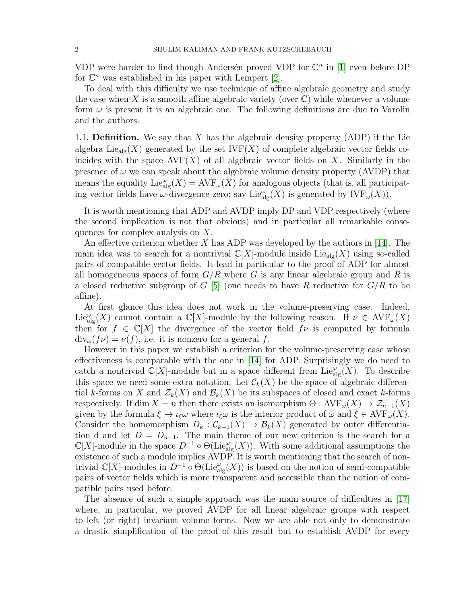VDP were harder to find though Andersén proved VDP for  $\mathbb{C}^n$  in [\[1\]](#page-25-0) even before DP for  $\mathbb{C}^n$  was established in his paper with Lempert [\[2\]](#page-25-1).

To deal with this difficulty we use technique of affine algebraic geometry and study the case when X is a smooth affine algebraic variety (over  $\mathbb{C}$ ) while whenever a volume form  $\omega$  is present it is an algebraic one. The following definitions are due to Varolin and the authors.

1.1. **Definition.** We say that  $X$  has the algebraic density property (ADP) if the Lie algebra Lie<sub>alg</sub> $(X)$  generated by the set IVF $(X)$  of complete algebraic vector fields coincides with the space  $\text{AVF}(X)$  of all algebraic vector fields on X. Similarly in the presence of  $\omega$  we can speak about the algebraic volume density property (AVDP) that means the equality  $\text{Lie}_{\text{alg}}^{\omega}(X) = \text{AVF}_{\omega}(X)$  for analogous objects (that is, all participating vector fields have  $\omega$ -divergence zero; say Lie $_{\text{alg}}^{\omega}(X)$  is generated by  $\text{IVF}_{\omega}(X)$ ).

It is worth mentioning that ADP and AVDP imply DP and VDP respectively (where the second implication is not that obvious) and in particular all remarkable consequences for complex analysis on X.

An effective criterion whether  $X$  has ADP was developed by the authors in [\[14\]](#page-26-6). The main idea was to search for a nontrivial  $\mathbb{C}[X]$ -module inside Lie<sub>alg</sub> $(X)$  using so-called pairs of compatible vector fields. It lead in particular to the proof of ADP for almost all homogeneous spaces of form  $G/R$  where G is any linear algebraic group and R is a closed reductive subgroup of G [\[5\]](#page-25-3) (one needs to have R reductive for  $G/R$  to be affine).

At first glance this idea does not work in the volume-preserving case. Indeed,  $\text{Lie}_{\text{alg}}^{\omega}(X)$  cannot contain a  $\mathbb{C}[X]$ -module by the following reason. If  $\nu \in \text{AVF}_{\omega}(X)$ then for  $f \in \mathbb{C}[X]$  the divergence of the vector field  $f\nu$  is computed by formula  $\text{div}_{\omega}(f\nu) = \nu(f)$ , i.e. it is nonzero for a general f.

However in this paper we establish a criterion for the volume-preserving case whose effectiveness is comparable with the one in [\[14\]](#page-26-6) for ADP. Surprisingly we do need to catch a nontrivial  $\mathbb{C}[X]$ -module but in a space different from Lie $\mathbb{C}_{\text{alg}}(X)$ . To describe this space we need some extra notation. Let  $\mathcal{C}_k(X)$  be the space of algebraic differential k-forms on X and  $\mathcal{Z}_k(X)$  and  $\mathcal{B}_k(X)$  be its subspaces of closed and exact k-forms respectively. If dim  $X = n$  then there exists an isomorphism  $\Theta : AVF_{\omega}(X) \to \mathcal{Z}_{n-1}(X)$ given by the formula  $\xi \to \iota_{\xi} \omega$  where  $\iota_{\xi} \omega$  is the interior product of  $\omega$  and  $\xi \in \text{AVF}_{\omega}(X)$ . Consider the homomorphism  $D_k : C_{k-1}(X) \to \mathcal{B}_k(X)$  generated by outer differentiation d and let  $D = D_{n-1}$ . The main theme of our new criterion is the search for a  $\mathbb{C}[X]$ -module in the space  $D^{-1} \circ \Theta(\mathrm{Lie}_{\mathrm{alg}}^{\omega}(X))$ . With some additional assumptions the existence of such a module implies AVDP. It is worth mentioning that the search of nontrivial  $\mathbb{C}[X]$ -modules in  $D^{-1} \circ \Theta(\mathrm{Lie}_{\mathrm{alg}}^{\omega}(X))$  is based on the notion of semi-compatible pairs of vector fields which is more transparent and accessible than the notion of compatible pairs used before.

The absence of such a simple approach was the main source of difficulties in [\[17\]](#page-26-7) where, in particular, we proved AVDP for all linear algebraic groups with respect to left (or right) invariant volume forms. Now we are able not only to demonstrate a drastic simplification of the proof of this result but to establish AVDP for every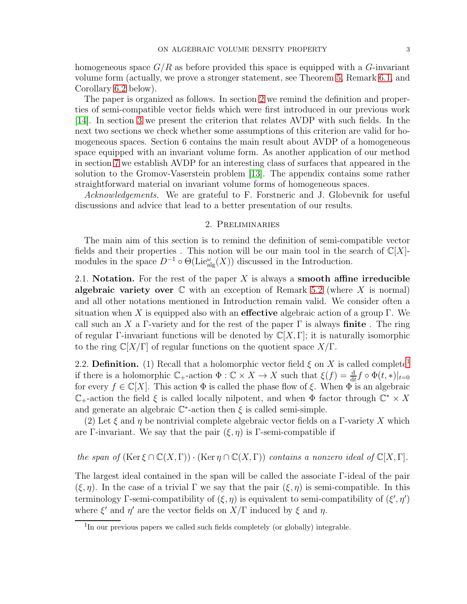homogeneous space  $G/R$  as before provided this space is equipped with a G-invariant volume form (actually, we prove a stronger statement, see Theorem [5,](#page-17-0) Remark [6.1,](#page-17-1) and Corollary [6.2](#page-17-2) below).

The paper is organized as follows. In section [2](#page-2-0) we remind the definition and properties of semi-compatible vector fields which were first introduced in our previous work [\[14\]](#page-26-6). In section [3](#page-6-0) we present the criterion that relates AVDP with such fields. In the next two sections we check whether some assumptions of this criterion are valid for homogeneous spaces. Section 6 contains the main result about AVDP of a homogeneous space equipped with an invariant volume form. As another application of our method in section [7](#page-20-0) we establish AVDP for an interesting class of surfaces that appeared in the solution to the Gromov-Vaserstein problem [\[13\]](#page-26-8). The appendix contains some rather straightforward material on invariant volume forms of homogeneous spaces.

<span id="page-2-0"></span>Acknowledgements. We are grateful to F. Forstneric and J. Globevnik for useful discussions and advice that lead to a better presentation of our results.

#### 2. Preliminaries

The main aim of this section is to remind the definition of semi-compatible vector fields and their properties. This notion will be our main tool in the search of  $\mathbb{C}[X]$ modules in the space  $D^{-1} \circ \Theta(\mathrm{Lie}_{\mathrm{alg}}^{\omega}(X))$  discussed in the Introduction.

2.1. Notation. For the rest of the paper  $X$  is always a smooth affine irreducible algebraic variety over  $\mathbb C$  with an exception of Remark [5.2](#page-15-0) (where X is normal) and all other notations mentioned in Introduction remain valid. We consider often a situation when X is equipped also with an effective algebraic action of a group  $\Gamma$ . We call such an X a Γ-variety and for the rest of the paper  $\Gamma$  is always finite. The ring of regular Γ-invariant functions will be denoted by  $\mathbb{C}[X,\Gamma]$ ; it is naturally isomorphic to the ring  $\mathbb{C}[X/\Gamma]$  of regular functions on the quotient space  $X/\Gamma$ .

2.2. Definition. ([1](#page-2-1)) Recall that a holomorphic vector field  $\xi$  on X is called complete<sup>1</sup> if there is a holomorphic  $\mathbb{C}_+$ -action  $\Phi : \mathbb{C} \times X \to X$  such that  $\xi(f) = \frac{d}{dt} f \circ \Phi(t, *)|_{t=0}$ for every  $f \in \mathbb{C}[X]$ . This action  $\Phi$  is called the phase flow of  $\xi$ . When  $\Phi$  is an algebraic  $\mathbb{C}_+$ -action the field  $\xi$  is called locally nilpotent, and when  $\Phi$  factor through  $\mathbb{C}^* \times X$ and generate an algebraic  $\mathbb{C}^*$ -action then  $\xi$  is called semi-simple.

(2) Let  $\xi$  and  $\eta$  be nontrivial complete algebraic vector fields on a Γ-variety X which are Γ-invariant. We say that the pair  $(\xi, \eta)$  is Γ-semi-compatible if

the span of  $(\text{Ker } \xi \cap \mathbb{C}(X, \Gamma)) \cdot (\text{Ker } \eta \cap \mathbb{C}(X, \Gamma))$  contains a nonzero ideal of  $\mathbb{C}[X, \Gamma]$ .

The largest ideal contained in the span will be called the associate Γ-ideal of the pair  $(\xi, \eta)$ . In the case of a trivial  $\Gamma$  we say that the pair  $(\xi, \eta)$  is semi-compatible. In this terminology Γ-semi-compatibility of  $(\xi, \eta)$  is equivalent to semi-compatibility of  $(\xi', \eta')$ where  $\xi'$  and  $\eta'$  are the vector fields on  $X/\Gamma$  induced by  $\xi$  and  $\eta$ .

<span id="page-2-1"></span><sup>&</sup>lt;sup>1</sup>In our previous papers we called such fields completely (or globally) integrable.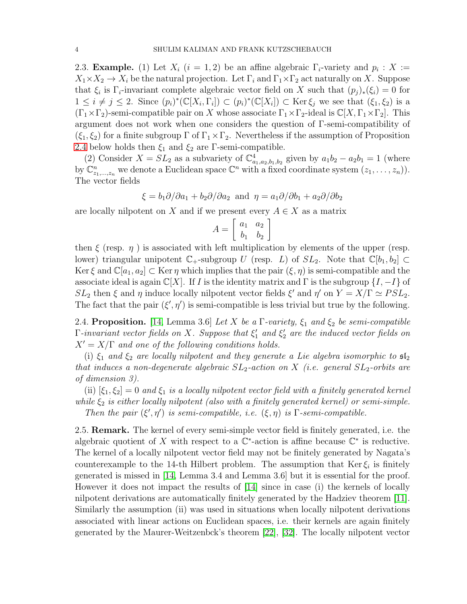<span id="page-3-1"></span>2.3. **Example.** (1) Let  $X_i$  ( $i = 1, 2$ ) be an affine algebraic  $\Gamma_i$ -variety and  $p_i : X :=$  $X_1 \times X_2 \to X_i$  be the natural projection. Let  $\Gamma_i$  and  $\Gamma_1 \times \Gamma_2$  act naturally on X. Suppose that  $\xi_i$  is  $\Gamma_i$ -invariant complete algebraic vector field on X such that  $(p_j)_*(\xi_i) = 0$  for  $1 \leq i \neq j \leq 2$ . Since  $(p_i)^*(\mathbb{C}[X_i,\Gamma_i]) \subset (p_i)^*(\mathbb{C}[X_i]) \subset \text{Ker}\,\xi_j$  we see that  $(\xi_1,\xi_2)$  is a  $(\Gamma_1 \times \Gamma_2)$ -semi-compatible pair on X whose associate  $\Gamma_1 \times \Gamma_2$ -ideal is  $\mathbb{C}[X, \Gamma_1 \times \Gamma_2]$ . This argument does not work when one considers the question of Γ-semi-compatibility of  $(\xi_1, \xi_2)$  for a finite subgroup  $\Gamma$  of  $\Gamma_1 \times \Gamma_2$ . Nevertheless if the assumption of Proposition [2.4](#page-3-0) below holds then  $\xi_1$  and  $\xi_2$  are Γ-semi-compatible.

(2) Consider  $X = SL_2$  as a subvariety of  $\mathbb{C}^4_{a_1,a_2,b_1,b_2}$  given by  $a_1b_2 - a_2b_1 = 1$  (where by  $\mathbb{C}_{z_1,\ldots,z_n}^n$  we denote a Euclidean space  $\mathbb{C}^n$  with a fixed coordinate system  $(z_1,\ldots,z_n)$ . The vector fields

$$
\xi = b_1 \partial/\partial a_1 + b_2 \partial/\partial a_2
$$
 and  $\eta = a_1 \partial/\partial b_1 + a_2 \partial/\partial b_2$ 

are locally nilpotent on X and if we present every  $A \in X$  as a matrix

$$
A = \left[ \begin{array}{cc} a_1 & a_2 \\ b_1 & b_2 \end{array} \right]
$$

then  $\xi$  (resp.  $\eta$ ) is associated with left multiplication by elements of the upper (resp. lower) triangular unipotent  $\mathbb{C}_+$ -subgroup U (resp. L) of  $SL_2$ . Note that  $\mathbb{C}[b_1, b_2] \subset$ Ker  $\xi$  and  $\mathbb{C}[a_1, a_2] \subset \text{Ker } \eta$  which implies that the pair  $(\xi, \eta)$  is semi-compatible and the associate ideal is again  $\mathbb{C}[X]$ . If I is the identity matrix and  $\Gamma$  is the subgroup  $\{I, -I\}$  of  $SL_2$  then  $\xi$  and  $\eta$  induce locally nilpotent vector fields  $\xi'$  and  $\eta'$  on  $Y = X/\Gamma \simeq PSL_2$ . The fact that the pair  $(\xi', \eta')$  is semi-compatible is less trivial but true by the following.

<span id="page-3-0"></span>2.4. Proposition. [\[14,](#page-26-6) Lemma 3.6] Let X be a  $\Gamma$ -variety,  $\xi_1$  and  $\xi_2$  be semi-compatible  $\Gamma$ -invariant vector fields on X. Suppose that  $\xi_1'$  $\int_1$  and  $\xi_2'$  $\frac{1}{2}$  are the induced vector fields on  $X' = X/\Gamma$  and one of the following conditions holds.

(i)  $\xi_1$  and  $\xi_2$  are locally nilpotent and they generate a Lie algebra isomorphic to  $\mathfrak{sl}_2$ that induces a non-degenerate algebraic  $SL_2$ -action on X (i.e. general  $SL_2$ -orbits are of dimension 3).

(ii)  $[\xi_1, \xi_2] = 0$  and  $\xi_1$  is a locally nilpotent vector field with a finitely generated kernel while  $\xi_2$  is either locally nilpotent (also with a finitely generated kernel) or semi-simple. Then the pair  $(\xi', \eta')$  is semi-compatible, i.e.  $(\xi, \eta)$  is  $\Gamma$ -semi-compatible.

2.5. Remark. The kernel of every semi-simple vector field is finitely generated, i.e. the algebraic quotient of X with respect to a  $\mathbb{C}^*$ -action is affine because  $\mathbb{C}^*$  is reductive. The kernel of a locally nilpotent vector field may not be finitely generated by Nagata's counterexample to the 14-th Hilbert problem. The assumption that  $\text{Ker } \xi_i$  is finitely generated is missed in [\[14,](#page-26-6) Lemma 3.4 and Lemma 3.6] but it is essential for the proof. However it does not impact the results of [\[14\]](#page-26-6) since in case (i) the kernels of locally nilpotent derivations are automatically finitely generated by the Hadziev theorem [\[11\]](#page-26-9). Similarly the assumption (ii) was used in situations when locally nilpotent derivations associated with linear actions on Euclidean spaces, i.e. their kernels are again finitely generated by the Maurer-Weitzenbck's theorem [\[22\]](#page-26-10), [\[32\]](#page-26-11). The locally nilpotent vector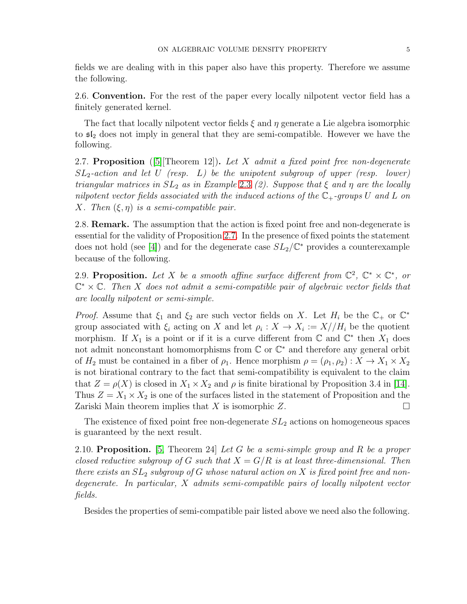fields we are dealing with in this paper also have this property. Therefore we assume the following.

2.6. Convention. For the rest of the paper every locally nilpotent vector field has a finitely generated kernel.

The fact that locally nilpotent vector fields  $\xi$  and  $\eta$  generate a Lie algebra isomorphic to  $\mathfrak{sl}_2$  does not imply in general that they are semi-compatible. However we have the following.

<span id="page-4-0"></span>2.7. Proposition ([\[5\]](#page-25-3)[Theorem 12]). Let X admit a fixed point free non-degenerate  $SL_2$ -action and let U (resp. L) be the unipotent subgroup of upper (resp. lower) triangular matrices in  $SL_2$  as in Example [2.3](#page-3-1) (2). Suppose that  $\xi$  and  $\eta$  are the locally nilpotent vector fields associated with the induced actions of the  $\mathbb{C}_+$ -groups U and L on X. Then  $(\xi, \eta)$  is a semi-compatible pair.

2.8. Remark. The assumption that the action is fixed point free and non-degenerate is essential for the validity of Proposition [2.7.](#page-4-0) In the presence of fixed points the statement does not hold (see [\[4\]](#page-25-4)) and for the degenerate case  $SL_2/\mathbb{C}^*$  provides a counterexample because of the following.

2.9. Proposition. Let X be a smooth affine surface different from  $\mathbb{C}^2$ ,  $\mathbb{C}^* \times \mathbb{C}^*$ , or  $\mathbb{C}^* \times \mathbb{C}$ . Then X does not admit a semi-compatible pair of algebraic vector fields that are locally nilpotent or semi-simple.

*Proof.* Assume that  $\xi_1$  and  $\xi_2$  are such vector fields on X. Let  $H_i$  be the  $\mathbb{C}_+$  or  $\mathbb{C}^*$ group associated with  $\xi_i$  acting on X and let  $\rho_i : X \to X_i := X//H_i$  be the quotient morphism. If  $X_1$  is a point or if it is a curve different from  $\mathbb C$  and  $\mathbb C^*$  then  $X_1$  does not admit nonconstant homomorphisms from  $\mathbb C$  or  $\mathbb C^*$  and therefore any general orbit of  $H_2$  must be contained in a fiber of  $\rho_1$ . Hence morphism  $\rho = (\rho_1, \rho_2) : X \to X_1 \times X_2$ is not birational contrary to the fact that semi-compatibility is equivalent to the claim that  $Z = \rho(X)$  is closed in  $X_1 \times X_2$  and  $\rho$  is finite birational by Proposition 3.4 in [\[14\]](#page-26-6). Thus  $Z = X_1 \times X_2$  is one of the surfaces listed in the statement of Proposition and the Zariski Main theorem implies that X is isomorphic Z. Zariski Main theorem implies that  $X$  is isomorphic  $Z$ .

The existence of fixed point free non-degenerate  $SL_2$  actions on homogeneous spaces is guaranteed by the next result.

<span id="page-4-1"></span>2.10. Proposition. [\[5,](#page-25-3) Theorem 24] Let G be a semi-simple group and R be a proper closed reductive subgroup of G such that  $X = G/R$  is at least three-dimensional. Then there exists an  $SL_2$  subgroup of G whose natural action on X is fixed point free and nondegenerate. In particular, X admits semi-compatible pairs of locally nilpotent vector fields.

Besides the properties of semi-compatible pair listed above we need also the following.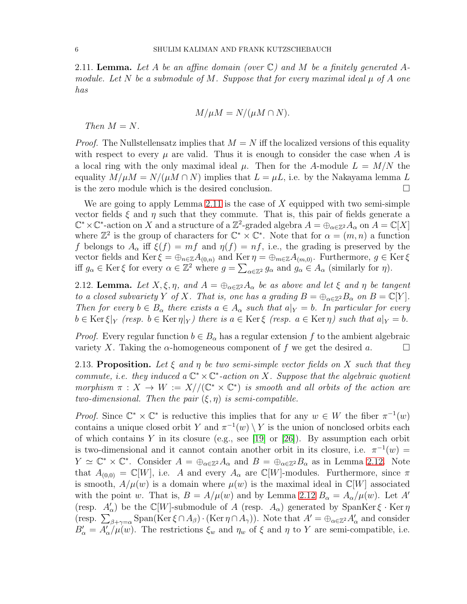<span id="page-5-0"></span>2.11. **Lemma.** Let A be an affine domain (over  $\mathbb{C}$ ) and M be a finitely generated Amodule. Let N be a submodule of M. Suppose that for every maximal ideal  $\mu$  of A one has

$$
M/\mu M = N/(\mu M \cap N).
$$

Then  $M = N$ .

*Proof.* The Nullstellensatz implies that  $M = N$  iff the localized versions of this equality with respect to every  $\mu$  are valid. Thus it is enough to consider the case when A is a local ring with the only maximal ideal  $\mu$ . Then for the A-module  $L = M/N$  the equality  $M/\mu M = N/(\mu M \cap N)$  implies that  $L = \mu L$ , i.e. by the Nakayama lemma L is the zero module which is the desired conclusion.

We are going to apply Lemma [2.11](#page-5-0) is the case of X equipped with two semi-simple vector fields  $\xi$  and  $\eta$  such that they commute. That is, this pair of fields generate a  $\mathbb{C}^* \times \mathbb{C}^*$ -action on X and a structure of a  $\mathbb{Z}^2$ -graded algebra  $A = \bigoplus_{\alpha \in \mathbb{Z}^2} A_{\alpha}$  on  $A = \mathbb{C}[X]$ where  $\mathbb{Z}^2$  is the group of characters for  $\mathbb{C}^* \times \mathbb{C}^*$ . Note that for  $\alpha = (m, n)$  a function f belongs to  $A_{\alpha}$  iff  $\xi(f) = mf$  and  $\eta(f) = nf$ , i.e., the grading is preserved by the vector fields and Ker  $\xi = \bigoplus_{n \in \mathbb{Z}} A_{(0,n)}$  and Ker  $\eta = \bigoplus_{m \in \mathbb{Z}} A_{(m,0)}$ . Furthermore,  $g \in \text{Ker } \xi$ iff  $g_{\alpha} \in \text{Ker}\,\xi$  for every  $\alpha \in \mathbb{Z}^2$  where  $g = \sum_{\alpha \in \mathbb{Z}^2} g_{\alpha}$  and  $g_{\alpha} \in A_{\alpha}$  (similarly for  $\eta$ ).

<span id="page-5-1"></span>2.12. Lemma. Let  $X, \xi, \eta$ , and  $A = \bigoplus_{\alpha \in \mathbb{Z}^2} A_{\alpha}$  be as above and let  $\xi$  and  $\eta$  be tangent to a closed subvariety Y of X. That is, one has a grading  $B = \bigoplus_{\alpha \in \mathbb{Z}^2} B_{\alpha}$  on  $B = \mathbb{C}[Y]$ . Then for every  $b \in B_\alpha$  there exists  $a \in A_\alpha$  such that  $a|_Y = b$ . In particular for every  $b \in \text{Ker } \xi|_Y$  (resp.  $b \in \text{Ker } \eta|_Y$ ) there is  $a \in \text{Ker } \xi$  (resp.  $a \in \text{Ker } \eta$ ) such that  $a|_Y = b$ .

*Proof.* Every regular function  $b \in B_\alpha$  has a regular extension f to the ambient algebraic variety X. Taking the  $\alpha$ -homogeneous component of f we get the desired a.

<span id="page-5-2"></span>2.13. Proposition. Let  $\xi$  and  $\eta$  be two semi-simple vector fields on X such that they commute, i.e. they induced a  $\mathbb{C}^* \times \mathbb{C}^*$ -action on X. Suppose that the algebraic quotient morphism  $\pi : X \to W := X//(\mathbb{C}^* \times \mathbb{C}^*)$  is smooth and all orbits of the action are two-dimensional. Then the pair  $(\xi, \eta)$  is semi-compatible.

*Proof.* Since  $\mathbb{C}^* \times \mathbb{C}^*$  is reductive this implies that for any  $w \in W$  the fiber  $\pi^{-1}(w)$ contains a unique closed orbit Y and  $\pi^{-1}(w) \setminus Y$  is the union of nonclosed orbits each of which contains Y in its closure (e.g., see [\[19\]](#page-26-12) or [\[26\]](#page-26-13)). By assumption each orbit is two-dimensional and it cannot contain another orbit in its closure, i.e.  $\pi^{-1}(w) =$  $Y \simeq \mathbb{C}^* \times \mathbb{C}^*$ . Consider  $A = \bigoplus_{\alpha \in \mathbb{Z}^2} A_{\alpha}$  and  $B = \bigoplus_{\alpha \in \mathbb{Z}^2} B_{\alpha}$  as in Lemma [2.12.](#page-5-1) Note that  $A_{(0,0)} = \mathbb{C}[W]$ , i.e. A and every  $A_{\alpha}$  are  $\mathbb{C}[W]$ -modules. Furthermore, since  $\pi$ is smooth,  $A/\mu(w)$  is a domain where  $\mu(w)$  is the maximal ideal in  $\mathbb{C}[W]$  associated with the point w. That is,  $B = A/\mu(w)$  and by Lemma [2.12](#page-5-1)  $B_{\alpha} = A_{\alpha}/\mu(w)$ . Let A' (resp.  $A'_{\alpha}$ ) be the C[W]-submodule of A (resp.  $A_{\alpha}$ ) generated by SpanKer  $\xi$  · Ker  $\eta$ (resp.  $\sum_{\beta+\gamma=\alpha}$  Span(Ker  $\xi \cap A_{\beta}$ ) · (Ker  $\eta \cap A_{\gamma}$ )). Note that  $A' = \bigoplus_{\alpha \in \mathbb{Z}^2} A'_{\alpha}$  and consider  $B'_{\alpha} = A'_{\alpha}/\mu(w)$ . The restrictions  $\xi_w$  and  $\eta_w$  of  $\xi$  and  $\eta$  to Y are semi-compatible, i.e.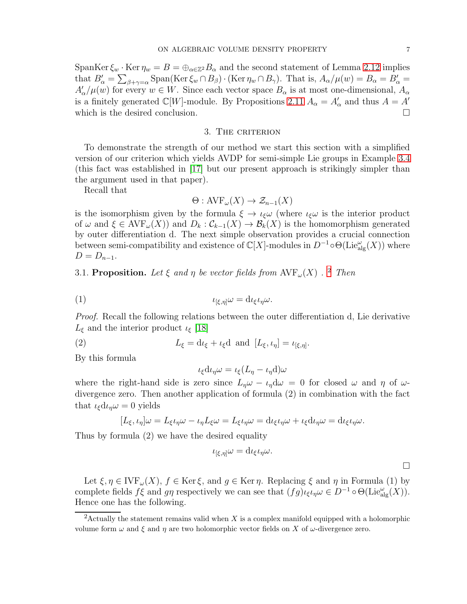SpanKer  $\xi_w$  · Ker  $\eta_w = B = \bigoplus_{\alpha \in \mathbb{Z}^2} B_\alpha$  and the second statement of Lemma [2.12](#page-5-1) implies that  $B'_{\alpha} = \sum_{\beta + \gamma = \alpha}$  Span(Ker  $\xi_w \cap B_{\beta}$ ) · (Ker  $\eta_w \cap B_{\gamma}$ ). That is,  $A_{\alpha}/\mu(w) = B_{\alpha} = B'_{\alpha}$  $A'_{\alpha}/\mu(w)$  for every  $w \in W$ . Since each vector space  $B_{\alpha}$  is at most one-dimensional,  $A_{\alpha}$ is a finitely generated  $\mathbb{C}[W]$ -module. By Propositions [2.11](#page-5-0)  $A_{\alpha} = A'_{\alpha}$  and thus  $A = A'$ which is the desired conclusion.  $\Box$ 

#### 3. THE CRITERION

<span id="page-6-0"></span>To demonstrate the strength of our method we start this section with a simplified version of our criterion which yields AVDP for semi-simple Lie groups in Example [3.4](#page-7-0) (this fact was established in [\[17\]](#page-26-7) but our present approach is strikingly simpler than the argument used in that paper).

Recall that

$$
\Theta: \mathrm{AVF}_{\omega}(X) \to \mathcal{Z}_{n-1}(X)
$$

is the isomorphism given by the formula  $\xi \to \iota_{\xi} \omega$  (where  $\iota_{\xi} \omega$  is the interior product of  $\omega$  and  $\xi \in \text{AVF}_{\omega}(X)$  and  $D_k : \mathcal{C}_{k-1}(X) \to \mathcal{B}_k(X)$  is the homomorphism generated by outer differentiation d. The next simple observation provides a crucial connection between semi-compatibility and existence of  $\mathbb{C}[X]$ -modules in  $D^{-1} \circ \Theta(\mathrm{Lie}_{\mathrm{alg}}^{\omega}(X))$  where  $D = D_{n-1}.$ 

<span id="page-6-2"></span>3.1. Proposition. Let  $\xi$  and  $\eta$  be vector fields from  $\operatorname{AVF}_{\omega}(X)$ . <sup>[2](#page-6-1)</sup> Then

$$
u_{\lbrack \xi,\eta\rbrack}\omega = \mathrm{d}\iota_{\xi}\iota_{\eta}\omega.
$$

Proof. Recall the following relations between the outer differentiation d, Lie derivative  $L_{\xi}$  and the interior product  $\iota_{\xi}$  [\[18\]](#page-26-14)

(2) 
$$
L_{\xi} = d\iota_{\xi} + \iota_{\xi}d \text{ and } [L_{\xi}, \iota_{\eta}] = \iota_{[\xi, \eta]}.
$$

By this formula

$$
\iota_{\xi}d\iota_{\eta}\omega = \iota_{\xi}(L_{\eta} - \iota_{\eta}d)\omega
$$

where the right-hand side is zero since  $L_{\eta}\omega - \iota_{\eta}d\omega = 0$  for closed  $\omega$  and  $\eta$  of  $\omega$ divergence zero. Then another application of formula (2) in combination with the fact that  $\iota_{\xi}d\iota_{\eta}\omega=0$  yields

$$
[L_{\xi}, \iota_{\eta}]\omega = L_{\xi}\iota_{\eta}\omega - \iota_{\eta}L_{\xi}\omega = L_{\xi}\iota_{\eta}\omega = d\iota_{\xi}\iota_{\eta}\omega + \iota_{\xi}d\iota_{\eta}\omega = d\iota_{\xi}\iota_{\eta}\omega.
$$

Thus by formula (2) we have the desired equality

$$
\iota_{[\xi,\eta]}\omega = d\iota_{\xi}\iota_{\eta}\omega.
$$

Let  $\xi, \eta \in \text{IVF}_{\omega}(X), f \in \text{Ker}\,\xi$ , and  $g \in \text{Ker}\,\eta$ . Replacing  $\xi$  and  $\eta$  in Formula (1) by complete fields  $f\xi$  and gn respectively we can see that  $(fg)_{\iota\xi\iota\eta}\omega \in D^{-1} \circ \Theta(\mathrm{Lie}_{\mathrm{alg}}^{\omega}(X)).$ Hence one has the following.

<span id="page-6-1"></span><sup>&</sup>lt;sup>2</sup>Actually the statement remains valid when  $X$  is a complex manifold equipped with a holomorphic volume form  $\omega$  and  $\xi$  and  $\eta$  are two holomorphic vector fields on X of  $\omega$ -divergence zero.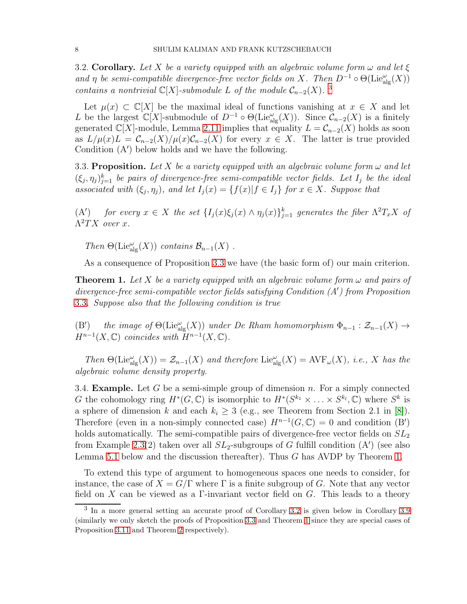<span id="page-7-4"></span>3.2. Corollary. Let X be a variety equipped with an algebraic volume form  $\omega$  and let  $\xi$ and  $\eta$  be semi-compatible divergence-free vector fields on X. Then  $D^{-1} \circ \Theta(\text{Lie}_{\text{alg}}^{\omega}(X))$ contains a nontrivial  $\mathbb{C}[X]$ -submodule L of the module  $\mathcal{C}_{n-2}(X)$ .<sup>[3](#page-7-1)</sup>

Let  $\mu(x) \subset \mathbb{C}[X]$  be the maximal ideal of functions vanishing at  $x \in X$  and let L be the largest  $\mathbb{C}[X]$ -submodule of  $D^{-1} \circ \Theta(\mathrm{Lie}_{\mathrm{alg}}^{\omega}(X))$ . Since  $\mathcal{C}_{n-2}(X)$  is a finitely generated  $\mathbb{C}[X]$ -module, Lemma [2.11](#page-5-0) implies that equality  $L = \mathcal{C}_{n-2}(X)$  holds as soon as  $L/\mu(x)L = C_{n-2}(X)/\mu(x)C_{n-2}(X)$  for every  $x \in X$ . The latter is true provided Condition (A′ ) below holds and we have the following.

<span id="page-7-2"></span>3.3. Proposition. Let X be a variety equipped with an algebraic volume form  $\omega$  and let  $(\xi_j, \eta_j)_{j=1}^k$  be pairs of divergence-free semi-compatible vector fields. Let  $I_j$  be the ideal associated with  $(\xi_j, \eta_j)$ , and let  $I_j(x) = \{f(x)|f \in I_j\}$  for  $x \in X$ . Suppose that

 $(A')$ ) for every  $x \in X$  the set  $\{I_j(x)\xi_j(x) \wedge \eta_j(x)\}_{j=1}^k$  generates the fiber  $\Lambda^2 T_x X$  of  $\Lambda^2 TX$  over x.

Then  $\Theta(\mathrm{Lie}_{\mathrm{alg}}^{\omega}(X))$  contains  $\mathcal{B}_{n-1}(X)$ .

As a consequence of Proposition [3.3](#page-7-2) we have (the basic form of) our main criterion.

<span id="page-7-3"></span>**Theorem 1.** Let X be a variety equipped with an algebraic volume form  $\omega$  and pairs of divergence-free semi-compatible vector fields satisfying Condition (A′ ) from Proposition [3.3](#page-7-2). Suppose also that the following condition is true

 $(B')$ ) the image of  $\Theta(\mathrm{Lie}_{\mathrm{alg}}^{\omega}(X))$  under De Rham homomorphism  $\Phi_{n-1} : \mathcal{Z}_{n-1}(X) \to$  $H^{n-1}(X,\mathbb{C})$  coincides with  $H^{n-1}(X,\mathbb{C})$ .

Then  $\Theta(\mathrm{Lie}_{\mathrm{alg}}^{\omega}(X)) = \mathcal{Z}_{n-1}(X)$  and therefore  $\mathrm{Lie}_{\mathrm{alg}}^{\omega}(X) = \mathrm{AVF}_{\omega}(X)$ , i.e., X has the algebraic volume density property.

<span id="page-7-0"></span>3.4. **Example.** Let G be a semi-simple group of dimension n. For a simply connected G the cohomology ring  $H^*(G, \mathbb{C})$  is isomorphic to  $H^*(S^{k_1} \times \ldots \times S^{k_l}, \mathbb{C})$  where  $S^k$  is a sphere of dimension k and each  $k_i \geq 3$  (e.g., see Theorem from Section 2.1 in [\[8\]](#page-25-5)). Therefore (even in a non-simply connected case)  $H^{n-1}(G,\mathbb{C})=0$  and condition  $(B')$ holds automatically. The semi-compatible pairs of divergence-free vector fields on  $SL_2$ from Example [2.3\(](#page-3-1)2) taken over all  $SL_2$ -subgroups of G fulfill condition (A') (see also Lemma [5.1](#page-14-0) below and the discussion thereafter). Thus G has AVDP by Theorem [1.](#page-7-3)

To extend this type of argument to homogeneous spaces one needs to consider, for instance, the case of  $X = G/\Gamma$  where  $\Gamma$  is a finite subgroup of G. Note that any vector field on X can be viewed as a  $\Gamma$ -invariant vector field on G. This leads to a theory

<span id="page-7-1"></span><sup>&</sup>lt;sup>3</sup> In a more general setting an accurate proof of Corollary [3.2](#page-7-4) is given below in Corollary [3.9](#page-9-0) (similarly we only sketch the proofs of Proposition [3.3](#page-7-2) and Theorem [1](#page-7-3) since they are special cases of Proposition [3.11](#page-9-1) and Theorem [2](#page-10-0) respectively).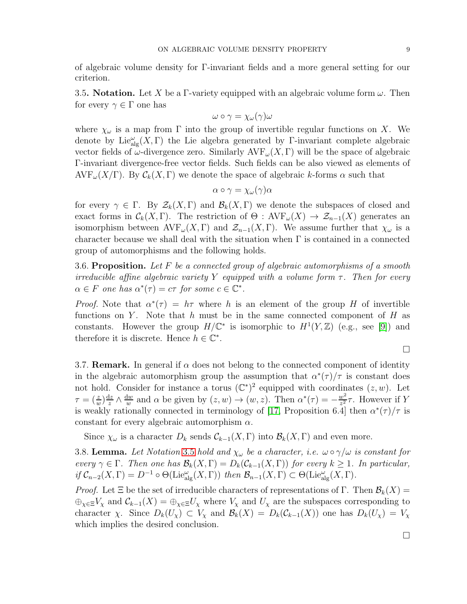of algebraic volume density for Γ-invariant fields and a more general setting for our criterion.

<span id="page-8-0"></span>3.5. Notation. Let X be a Γ-variety equipped with an algebraic volume form  $\omega$ . Then for every  $\gamma \in \Gamma$  one has

$$
\omega\circ\gamma=\chi_\omega(\gamma)\omega
$$

where  $\chi_{\omega}$  is a map from  $\Gamma$  into the group of invertible regular functions on X. We denote by  $\mathrm{Lie}^{\omega}_{\text{alg}}(X,\Gamma)$  the Lie algebra generated by Γ-invariant complete algebraic vector fields of  $\omega$ -divergence zero. Similarly AVF<sub> $\omega$ </sub>(X, Γ) will be the space of algebraic Γ-invariant divergence-free vector fields. Such fields can be also viewed as elements of  $AVF_{\omega}(X/\Gamma)$ . By  $\mathcal{C}_k(X,\Gamma)$  we denote the space of algebraic k-forms  $\alpha$  such that

$$
\alpha \circ \gamma = \chi_{\omega}(\gamma) \alpha
$$

for every  $\gamma \in \Gamma$ . By  $\mathcal{Z}_k(X,\Gamma)$  and  $\mathcal{B}_k(X,\Gamma)$  we denote the subspaces of closed and exact forms in  $\mathcal{C}_k(X, \Gamma)$ . The restriction of  $\Theta : AVF_\omega(X) \to \mathcal{Z}_{n-1}(X)$  generates an isomorphism between  $\text{AVF}_{\omega}(X, \Gamma)$  and  $\mathcal{Z}_{n-1}(X, \Gamma)$ . We assume further that  $\chi_{\omega}$  is a character because we shall deal with the situation when  $\Gamma$  is contained in a connected group of automorphisms and the following holds.

<span id="page-8-2"></span>3.6. Proposition. Let F be a connected group of algebraic automorphisms of a smooth irreducible affine algebraic variety Y equipped with a volume form  $\tau$ . Then for every  $\alpha \in F$  one has  $\alpha^*(\tau) = c\tau$  for some  $c \in \mathbb{C}^*$ .

*Proof.* Note that  $\alpha^*(\tau) = h\tau$  where h is an element of the group H of invertible functions on Y. Note that h must be in the same connected component of H as constants. However the group  $H/\mathbb{C}^*$  is isomorphic to  $H^1(Y,\mathbb{Z})$  (e.g., see [\[9\]](#page-25-6)) and therefore it is discrete. Hence  $h \in \mathbb{C}^*$ .

 $\Box$ 

3.7. **Remark.** In general if  $\alpha$  does not belong to the connected component of identity in the algebraic automorphism group the assumption that  $\alpha^*(\tau)/\tau$  is constant does not hold. Consider for instance a torus  $(\mathbb{C}^*)^2$  equipped with coordinates  $(z, w)$ . Let  $\tau = (\frac{z}{w})\frac{\mathrm{d}z}{z}$  $rac{\mathrm{d}z}{z} \wedge \frac{\mathrm{d}w}{w}$  $\frac{dw}{w}$  and  $\alpha$  be given by  $(z, w) \rightarrow (w, z)$ . Then  $\alpha^*(\tau) = -\frac{w^2}{z^2}$ .  $\frac{w^2}{z^2}\tau$ . However if Y is weakly rationally connected in terminology of [\[17,](#page-26-7) Proposition 6.4] then  $\alpha^*(\tau)/\tau$  is constant for every algebraic automorphism  $\alpha$ .

Since  $\chi_{\omega}$  is a character  $D_k$  sends  $\mathcal{C}_{k-1}(X,\Gamma)$  into  $\mathcal{B}_k(X,\Gamma)$  and even more.

<span id="page-8-1"></span>3.8. Lemma. Let Notation [3.5](#page-8-0) hold and  $\chi_{\omega}$  be a character, i.e.  $\omega \circ \gamma/\omega$  is constant for every  $\gamma \in \Gamma$ . Then one has  $\mathcal{B}_k(X,\Gamma) = D_k(\mathcal{C}_{k-1}(X,\Gamma))$  for every  $k \geq 1$ . In particular, if  $C_{n-2}(X,\Gamma) = D^{-1} \circ \Theta(\mathrm{Lie}_{\mathrm{alg}}^{\omega}(X,\Gamma))$  then  $\mathcal{B}_{n-1}(X,\Gamma) \subset \Theta(\mathrm{Lie}_{\mathrm{alg}}^{\omega}(X,\Gamma)).$ 

*Proof.* Let  $\Xi$  be the set of irreducible characters of representations of Γ. Then  $\mathcal{B}_k(X) =$  $\bigoplus_{\chi \in \Xi} V_{\chi}$  and  $\mathcal{C}_{k-1}(X) = \bigoplus_{\chi \in \Xi} U_{\chi}$  where  $V_{\chi}$  and  $U_{\chi}$  are the subspaces corresponding to character  $\chi$ . Since  $D_k(U_\chi) \subset V_\chi$  and  $\mathcal{B}_k(X) = D_k(\mathcal{C}_{k-1}(X))$  one has  $D_k(U_\chi) = V_\chi$ which implies the desired conclusion.

 $\Box$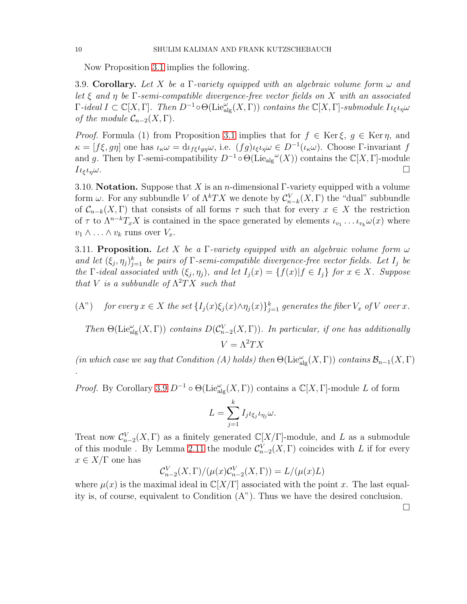Now Proposition [3.1](#page-6-2) implies the following.

<span id="page-9-0"></span>3.9. Corollary. Let X be a Γ-variety equipped with an algebraic volume form  $\omega$  and let  $\xi$  and  $\eta$  be  $\Gamma$ -semi-compatible divergence-free vector fields on X with an associated  $\Gamma$ -ideal  $I \subset \mathbb{C}[X,\Gamma]$ . Then  $D^{-1} \circ \Theta(\mathrm{Lie}_{\mathrm{alg}}^{\omega}(X,\Gamma))$  contains the  $\mathbb{C}[X,\Gamma]$ -submodule  $I_{\iota \xi} \iota_{\eta} \omega$ of the module  $C_{n-2}(X,\Gamma)$ .

*Proof.* Formula (1) from Proposition [3.1](#page-6-2) implies that for  $f \in \text{Ker } \xi$ ,  $g \in \text{Ker } \eta$ , and  $\kappa = [f\xi, g\eta]$  one has  $\iota_{\kappa}\omega = d\iota_{f\xi}\iota_{g\eta}\omega$ , i.e.  $(fg)\iota_{\xi}\iota_{\eta}\omega \in D^{-1}(\iota_{\kappa}\omega)$ . Choose Γ-invariant f and g. Then by Γ-semi-compatibility  $D^{-1} \circ \Theta(\mathrm{Lie}_{\mathrm{alg}}^{\omega}(X))$  contains the  $\mathbb{C}[X,\Gamma]$ -module  $I_{\ell\xi l\eta}\omega$ .

3.10. **Notation.** Suppose that X is an *n*-dimensional Γ-variety equipped with a volume form  $\omega$ . For any subbundle V of  $\Lambda^kTX$  we denote by  $\mathcal{C}_{n-k}^V(X,\Gamma)$  the "dual" subbundle of  $\mathcal{C}_{n-k}(X, \Gamma)$  that consists of all forms  $\tau$  such that for every  $x \in X$  the restriction of  $\tau$  to  $\Lambda^{n-k}T_xX$  is contained in the space generated by elements  $\iota_{v_1} \ldots \iota_{v_k} \omega(x)$  where  $v_1 \wedge \ldots \wedge v_k$  runs over  $V_x$ .

<span id="page-9-1"></span>3.11. Proposition. Let X be a Γ-variety equipped with an algebraic volume form  $\omega$ and let  $(\xi_j, \eta_j)_{j=1}^k$  be pairs of  $\Gamma$ -semi-compatible divergence-free vector fields. Let  $I_j$  be the  $\Gamma$ -ideal associated with  $(\xi_j, \eta_j)$ , and let  $I_j(x) = \{f(x)|f \in I_j\}$  for  $x \in X$ . Suppose that V is a subbundle of  $\Lambda^2TX$  such that

(A") for every  $x \in X$  the set  $\{I_j(x)\xi_j(x) \wedge \eta_j(x)\}_{j=1}^k$  generates the fiber  $V_x$  of  $V$  over  $x$ .

Then  $\Theta(\mathrm{Lie}_{\mathrm{alg}}^{\omega}(X,\Gamma))$  contains  $D(\mathcal{C}_{n-2}^V(X,\Gamma))$ . In particular, if one has additionally  $V = \Lambda^2 TX$ 

(in which case we say that Condition (A) holds) then  $\Theta(\mathrm{Lie}_{\mathrm{alg}}^\omega(X,\Gamma))$  contains  $\mathcal{B}_{n-1}(X,\Gamma)$ .

*Proof.* By Corollary [3.9](#page-9-0)  $D^{-1} \circ \Theta(\text{Lie}_{\text{alg}}^{\omega}(X, \Gamma))$  contains a  $\mathbb{C}[X, \Gamma]$ -module L of form

$$
L = \sum_{j=1}^{k} I_j \iota_{\xi_j} \iota_{\eta_j} \omega.
$$

Treat now  $\mathcal{C}_{n-2}^V(X,\Gamma)$  as a finitely generated  $\mathbb{C}[X/\Gamma]$ -module, and L as a submodule of this module . By Lemma [2.11](#page-5-0) the module  $\mathcal{C}_{n-2}^V(X,\Gamma)$  coincides with L if for every  $x \in X/\Gamma$  one has

$$
\mathcal{C}_{n-2}^V(X,\Gamma)/(\mu(x)\mathcal{C}_{n-2}^V(X,\Gamma)) = L/(\mu(x)L)
$$

where  $\mu(x)$  is the maximal ideal in  $\mathbb{C}[X/\Gamma]$  associated with the point x. The last equality is, of course, equivalent to Condition (A"). Thus we have the desired conclusion.

 $\Box$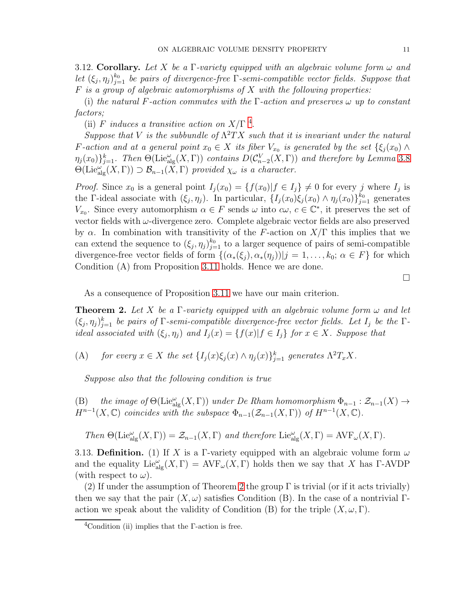<span id="page-10-3"></span>3.12. Corollary. Let X be a Γ-variety equipped with an algebraic volume form  $\omega$  and let  $(\xi_j, \eta_j)_{j=1}^{k_0}$  be pairs of divergence-free  $\Gamma$ -semi-compatible vector fields. Suppose that  $F$  is a group of algebraic automorphisms of  $X$  with the following properties:

(i) the natural F-action commutes with the  $\Gamma$ -action and preserves  $\omega$  up to constant factors;

(ii) F induces a transitive action on  $X/\Gamma$  <sup>[4](#page-10-1)</sup>.

Suppose that V is the subbundle of  $\Lambda^2TX$  such that it is invariant under the natural F-action and at a general point  $x_0 \in X$  its fiber  $V_{x_0}$  is generated by the set  $\{\xi_j(x_0) \wedge$  $\eta_j(x_0)\}_{j=1}^k$ . Then  $\Theta(\mathrm{Lie}_{\mathrm{alg}}^{\omega}(X,\Gamma))$  contains  $D(\mathcal{C}_{n-2}^V(X,\Gamma))$  and therefore by Lemma [3.8](#page-8-1)  $\Theta(\mathrm{Lie}^{\omega'}_{\mathrm{alg}}(X,\Gamma)) \supset \mathcal{B}_{n-1}(\tilde{X},\Gamma)$  provided  $\chi_{\omega}$  is a character.

*Proof.* Since  $x_0$  is a general point  $I_j(x_0) = \{f(x_0) | f \in I_j\} \neq 0$  for every j where  $I_j$  is the Γ-ideal associate with  $(\xi_j, \eta_j)$ . In particular,  $\{I_j(x_0)\xi_j(x_0) \wedge \eta_j(x_0)\}_{j=1}^{k_0}$  generates  $V_{x_0}$ . Since every automorphism  $\alpha \in F$  sends  $\omega$  into  $c\omega, c \in \mathbb{C}^*$ , it preserves the set of vector fields with ω-divergence zero. Complete algebraic vector fields are also preserved by  $\alpha$ . In combination with transitivity of the F-action on  $X/\Gamma$  this implies that we can extend the sequence to  $(\xi_j, \eta_j)_{j=1}^{k_0}$  to a larger sequence of pairs of semi-compatible divergence-free vector fields of form  $\{(\alpha_*(\xi_j), \alpha_*(\eta_j)) | j = 1, \ldots, k_0; \alpha \in F\}$  for which Condition (A) from Proposition [3.11](#page-9-1) holds. Hence we are done.

 $\Box$ 

As a consequence of Proposition [3.11](#page-9-1) we have our main criterion.

<span id="page-10-0"></span>**Theorem 2.** Let X be a  $\Gamma$ -variety equipped with an algebraic volume form  $\omega$  and let  $(\xi_j, \eta_j)_{j=1}^k$  be pairs of  $\Gamma$ -semi-compatible divergence-free vector fields. Let  $I_j$  be the  $\Gamma$ ideal associated with  $(\xi_j, \eta_j)$  and  $I_j(x) = \{f(x)|f \in I_j\}$  for  $x \in X$ . Suppose that

(A) for every  $x \in X$  the set  $\{I_j(x)\xi_j(x) \wedge \eta_j(x)\}_{j=1}^k$  generates  $\Lambda^2 T_x X$ .

Suppose also that the following condition is true

(B) the image of  $\Theta(\mathrm{Lie}_{\mathrm{alg}}^{\omega}(X,\Gamma))$  under De Rham homomorphism  $\Phi_{n-1} : \mathcal{Z}_{n-1}(X) \to$  $H^{n-1}(X,\mathbb{C})$  coincides with the subspace  $\Phi_{n-1}(\mathcal{Z}_{n-1}(X,\Gamma))$  of  $H^{n-1}(X,\mathbb{C})$ .

Then  $\Theta(\mathrm{Lie}^\omega_{\mathrm{alg}}(X,\Gamma)) = \mathcal{Z}_{n-1}(X,\Gamma)$  and therefore  $\mathrm{Lie}^\omega_{\mathrm{alg}}(X,\Gamma) = \mathrm{AVF}_\omega(X,\Gamma)$ .

<span id="page-10-2"></span>3.13. Definition. (1) If X is a Γ-variety equipped with an algebraic volume form  $\omega$ and the equality  $\text{Lie}_{\text{alg}}^{\omega}(X,\Gamma) = \text{AVF}_{\omega}(X,\Gamma)$  holds then we say that X has  $\Gamma$ -AVDP (with respect to  $\omega$ ).

(2) If under the assumption of Theorem [2](#page-10-0) the group  $\Gamma$  is trivial (or if it acts trivially) then we say that the pair  $(X, \omega)$  satisfies Condition (B). In the case of a nontrivial Γaction we speak about the validity of Condition (B) for the triple  $(X, \omega, \Gamma)$ .

<span id="page-10-1"></span><sup>&</sup>lt;sup>4</sup>Condition (ii) implies that the  $\Gamma$ -action is free.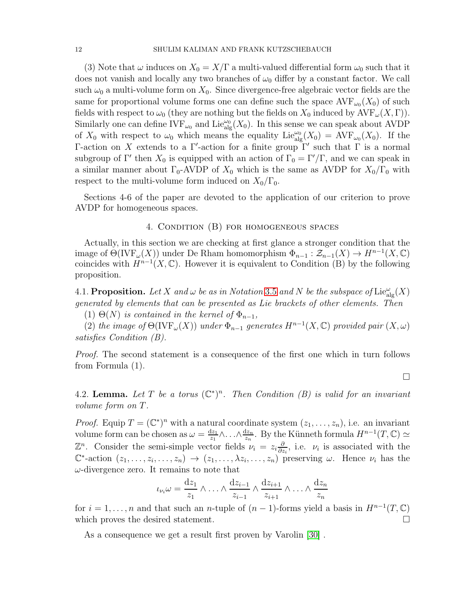(3) Note that  $\omega$  induces on  $X_0 = X/\Gamma$  a multi-valued differential form  $\omega_0$  such that it does not vanish and locally any two branches of  $\omega_0$  differ by a constant factor. We call such  $\omega_0$  a multi-volume form on  $X_0$ . Since divergence-free algebraic vector fields are the same for proportional volume forms one can define such the space  $\operatorname{AVF}_{\omega_0}(X_0)$  of such fields with respect to  $\omega_0$  (they are nothing but the fields on  $X_0$  induced by  $\text{AVF}_{\omega}(X,\Gamma)$ ). Similarly one can define  $IVF_{\omega_0}$  and  $Lie_{alg}^{\omega_0}(X_0)$ . In this sense we can speak about AVDP of  $X_0$  with respect to  $\omega_0$  which means the equality Lie  $_{\text{alg}}^{\omega_0}(X_0) = \text{AVF}_{\omega_0}(X_0)$ . If the Γ-action on X extends to a Γ'-action for a finite group  $\Gamma'$  such that  $\Gamma$  is a normal subgroup of  $\Gamma'$  then  $X_0$  is equipped with an action of  $\Gamma_0 = \Gamma'/\Gamma$ , and we can speak in a similar manner about  $\Gamma_0$ -AVDP of  $X_0$  which is the same as AVDP for  $X_0/\Gamma_0$  with respect to the multi-volume form induced on  $X_0/\Gamma_0$ .

Sections 4-6 of the paper are devoted to the application of our criterion to prove AVDP for homogeneous spaces.

#### 4. Condition (B) for homogeneous spaces

Actually, in this section we are checking at first glance a stronger condition that the image of  $\Theta(\text{IVF}_{\omega}(X))$  under De Rham homomorphism  $\Phi_{n-1} : \mathcal{Z}_{n-1}(X) \to H^{n-1}(X, \mathbb{C})$ coincides with  $H^{n-1}(X,\mathbb{C})$ . However it is equivalent to Condition (B) by the following proposition.

4.1. Proposition. Let X and  $\omega$  be as in Notation [3.5](#page-8-0) and N be the subspace of  $\mathrm{Lie}_{\mathrm{alg}}^{\omega}(X)$ generated by elements that can be presented as Lie brackets of other elements. Then

(1)  $\Theta(N)$  is contained in the kernel of  $\Phi_{n-1}$ ,

(2) the image of  $\Theta(NF_{\omega}(X))$  under  $\Phi_{n-1}$  generates  $H^{n-1}(X,\mathbb{C})$  provided pair  $(X,\omega)$ satisfies Condition (B).

Proof. The second statement is a consequence of the first one which in turn follows from Formula (1).

 $\Box$ 

<span id="page-11-0"></span>4.2. Lemma. Let T be a torus  $(\mathbb{C}^*)^n$ . Then Condition (B) is valid for an invariant volume form on T.

*Proof.* Equip  $T = (\mathbb{C}^*)^n$  with a natural coordinate system  $(z_1, \ldots, z_n)$ , i.e. an invariant volume form can be chosen as  $\omega = \frac{dz_1}{z_1}$  $rac{\mathrm{d}z_1}{z_1}\wedge\ldots\wedge \frac{\mathrm{d}z_n}{z_n}$  $\frac{dz_n}{z_n}$ . By the Künneth formula  $H^{n-1}(T,\mathbb{C}) \simeq$  $\mathbb{Z}^n$ . Consider the semi-simple vector fields  $\nu_i = z_i \frac{\partial}{\partial z_i}$  $\frac{\partial}{\partial z_i}$ , i.e.  $\nu_i$  is associated with the  $\mathbb{C}^*$ -action  $(z_1,\ldots,z_i,\ldots,z_n) \to (z_1,\ldots,\lambda z_i,\ldots,z_n)$  preserving  $\omega$ . Hence  $\nu_i$  has the  $\omega$ -divergence zero. It remains to note that

$$
\iota_{\nu_i}\omega = \frac{dz_1}{z_1} \wedge \ldots \wedge \frac{dz_{i-1}}{z_{i-1}} \wedge \frac{dz_{i+1}}{z_{i+1}} \wedge \ldots \wedge \frac{dz_n}{z_n}
$$

for  $i = 1, \ldots, n$  and that such an *n*-tuple of  $(n - 1)$ -forms yield a basis in  $H^{n-1}(T, \mathbb{C})$ which proves the desired statement.  $\Box$ 

As a consequence we get a result first proven by Varolin [\[30\]](#page-26-0) .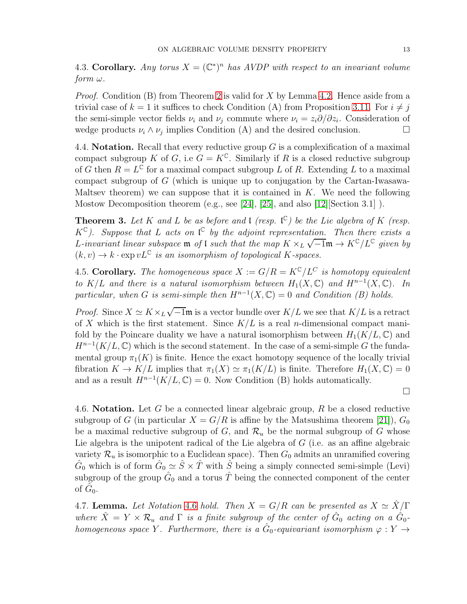<span id="page-12-3"></span>4.3. Corollary. Any torus  $X = (\mathbb{C}^*)^n$  has AVDP with respect to an invariant volume  $form \omega$ .

Proof. Condition (B) from Theorem [2](#page-10-0) is valid for X by Lemma [4.2.](#page-11-0) Hence aside from a trivial case of  $k = 1$  it suffices to check Condition (A) from Proposition [3.11.](#page-9-1) For  $i \neq j$ the semi-simple vector fields  $\nu_i$  and  $\nu_j$  commute where  $\nu_i = z_i \partial/\partial z_i$ . Consideration of wedge products  $\nu_i \wedge \nu_j$  implies Condition (A) and the desired conclusion.

4.4. Notation. Recall that every reductive group  $G$  is a complexification of a maximal compact subgroup K of G, i.e  $G = K^{\mathbb{C}}$ . Similarly if R is a closed reductive subgroup of G then  $R = L^{\mathbb{C}}$  for a maximal compact subgroup L of R. Extending L to a maximal compact subgroup of G (which is unique up to conjugation by the Cartan-Iwasawa-Maltsev theorem) we can suppose that it is contained in  $K$ . We need the following Mostow Decomposition theorem (e.g., see [\[24\]](#page-26-15), [\[25\]](#page-26-16), and also [\[12\]](#page-26-17)[Section 3.1] ).

**Theorem 3.** Let K and L be as before and l (resp.  $\mathfrak{C}$ ) be the Lie algebra of K (resp.  $K^{\mathbb{C}}$ ). Suppose that L acts on  $\mathfrak{l}^{\mathbb{C}}$  by the adjoint representation. Then there exists a L-invariant linear subspace **m** of l such that the map  $K \times_L \sqrt{-1}m \rightarrow K^{\mathbb{C}}/L^{\mathbb{C}}$  given by  $(k, v) \rightarrow k \cdot \exp vL^{\mathbb{C}}$  is an isomorphism of topological K-spaces.

<span id="page-12-2"></span>4.5. Corollary. The homogeneous space  $X := G/R = K^{\mathbb{C}}/L^C$  is homotopy equivalent to  $K/L$  and there is a natural isomorphism between  $H_1(X, \mathbb{C})$  and  $H^{n-1}(X, \mathbb{C})$ . In particular, when G is semi-simple then  $H^{n-1}(X,\mathbb{C})=0$  and Condition (B) holds.

*Proof.* Since  $X \simeq K \times_L \sqrt{-1}$  is a vector bundle over  $K/L$  we see that  $K/L$  is a retract of X which is the first statement. Since  $K/L$  is a real *n*-dimensional compact manifold by the Poincare duality we have a natural isomorphism between  $H_1(K/L, \mathbb{C})$  and  $H^{n-1}(K/L, \mathbb{C})$  which is the second statement. In the case of a semi-simple G the fundamental group  $\pi_1(K)$  is finite. Hence the exact homotopy sequence of the locally trivial fibration  $K \to K/L$  implies that  $\pi_1(X) \simeq \pi_1(K/L)$  is finite. Therefore  $H_1(X, \mathbb{C}) = 0$ and as a result  $H^{n-1}(K/L, \mathbb{C}) = 0$ . Now Condition (B) holds automatically.

 $\Box$ 

<span id="page-12-0"></span>4.6. Notation. Let G be a connected linear algebraic group,  $R$  be a closed reductive subgroup of G (in particular  $X = G/R$  is affine by the Matsushima theorem [\[21\]](#page-26-18)),  $G_0$ be a maximal reductive subgroup of G, and  $\mathcal{R}_u$  be the normal subgroup of G whose Lie algebra is the unipotent radical of the Lie algebra of G (i.e. as an affine algebraic variety  $\mathcal{R}_u$  is isomorphic to a Euclidean space). Then  $G_0$  admits an unramified covering  $\hat{G}_0$  which is of form  $\hat{G}_0 \simeq \hat{S} \times \hat{T}$  with  $\hat{S}_0$  being a simply connected semi-simple (Levi) subgroup of the group  $\hat{G}_0$  and a torus  $\hat{T}$  being the connected component of the center of  $\hat{G}_0$ .

<span id="page-12-1"></span>4.7. Lemma. Let Notation [4.6](#page-12-0) hold. Then  $X = G/R$  can be presented as  $X \simeq \hat{X}/\Gamma$ where  $\hat{X} = Y \times \mathcal{R}_u$  and  $\Gamma$  is a finite subgroup of the center of  $\hat{G}_0$  acting on a  $\hat{G}_0$ homogeneous space Y. Furthermore, there is a  $\hat{G}_0$ -equivariant isomorphism  $\varphi: Y \to$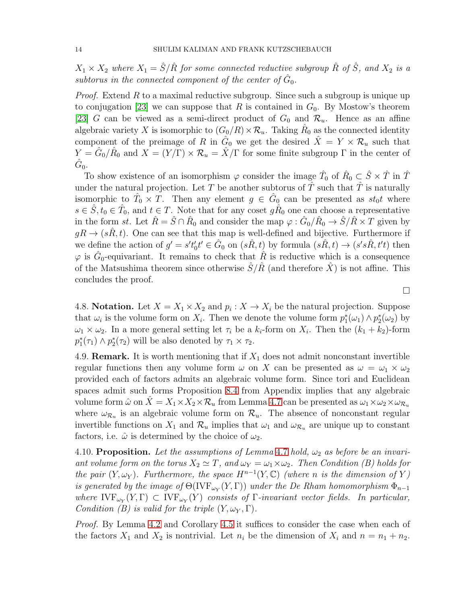$X_1 \times X_2$  where  $X_1 = \hat{S}/\hat{R}$  for some connected reductive subgroup  $\hat{R}$  of  $\hat{S}$ , and  $X_2$  is a subtorus in the connected component of the center of  $\hat{G}_0$ .

*Proof.* Extend R to a maximal reductive subgroup. Since such a subgroup is unique up to conjugation [\[23\]](#page-26-19) we can suppose that R is contained in  $G_0$ . By Mostow's theorem [\[23\]](#page-26-19) G can be viewed as a semi-direct product of  $G_0$  and  $\mathcal{R}_u$ . Hence as an affine algebraic variety X is isomorphic to  $(G_0/R) \times \mathcal{R}_u$ . Taking  $\hat{R}_0$  as the connected identity component of the preimage of R in  $\hat{G}_0$  we get the desired  $\hat{X} = Y \times \mathcal{R}_u$  such that  $Y = \hat{G}_0 / \hat{R}_0$  and  $X = (Y/\Gamma) \times \mathcal{R}_u = \hat{X}/\Gamma$  for some finite subgroup  $\Gamma$  in the center of  $\hat{G}_0.$ 

To show existence of an isomorphism  $\varphi$  consider the image  $\hat{T}_0$  of  $\hat{R}_0 \subsetneq \hat{S} \times \hat{T}$  in  $\hat{T}$ under the natural projection. Let T be another subtorus of  $\overline{T}$  such that  $\overline{T}$  is naturally isomorphic to  $\hat{T}_0 \times T$ . Then any element  $g \in \hat{G}_0$  can be presented as  $st_0t$  where  $s \in \hat{S}, t_0 \in \hat{T}_0$ , and  $t \in T$ . Note that for any coset  $g\hat{R}_0$  one can choose a representative in the form st. Let  $\hat{R} = \hat{S} \cap \hat{R}_0$  and consider the map  $\varphi : \hat{G}_0 / \hat{R}_0 \to \hat{S} / \hat{R} \times T$  given by  $gR \to (sR, t)$ . One can see that this map is well-defined and bijective. Furthermore if we define the action of  $g' = s't'$  $\hat{G}_0(t) \in \hat{G}_0$  on  $(s\hat{R}, t)$  by formula  $(s\hat{R}, t) \to (s's\hat{R}, t't)$  then  $\varphi$  is  $\hat{G}_0$ -equivariant. It remains to check that  $\hat{R}$  is reductive which is a consequence of the Matsushima theorem since otherwise  $S/R$  (and therefore X) is not affine. This concludes the proof.

4.8. **Notation.** Let  $X = X_1 \times X_2$  and  $p_i: X \to X_i$  be the natural projection. Suppose that  $\omega_i$  is the volume form on  $X_i$ . Then we denote the volume form  $p_1^*$  $j_1^*(\omega_1) \wedge p_2^*$  $_{2}^{*}(\omega_{2})$  by  $\omega_1 \times \omega_2$ . In a more general setting let  $\tau_i$  be a  $k_i$ -form on  $X_i$ . Then the  $(k_1 + k_2)$ -form  $p_1^*$  $j_1^*(\tau_1) \wedge p_2^*$  $\zeta_2^*(\tau_2)$  will be also denoted by  $\tau_1 \times \tau_2$ .

<span id="page-13-0"></span>4.9. **Remark.** It is worth mentioning that if  $X_1$  does not admit nonconstant invertible regular functions then any volume form  $\omega$  on X can be presented as  $\omega = \omega_1 \times \omega_2$ provided each of factors admits an algebraic volume form. Since tori and Euclidean spaces admit such forms Proposition [8.4](#page-23-0) from Appendix implies that any algebraic volume form  $\hat{\omega}$  on  $\hat{X} = X_1 \times X_2 \times \mathcal{R}_u$  from Lemma [4.7](#page-12-1) can be presented as  $\omega_1 \times \omega_2 \times \omega_{\mathcal{R}_u}$ where  $\omega_{\mathcal{R}_u}$  is an algebraic volume form on  $\mathcal{R}_u$ . The absence of nonconstant regular invertible functions on  $X_1$  and  $\mathcal{R}_u$  implies that  $\omega_1$  and  $\omega_{\mathcal{R}_u}$  are unique up to constant factors, i.e.  $\hat{\omega}$  is determined by the choice of  $\omega_2$ .

<span id="page-13-1"></span>4.10. Proposition. Let the assumptions of Lemma [4.7](#page-12-1) hold,  $\omega_2$  as before be an invariant volume form on the torus  $X_2 \simeq T$ , and  $\omega_Y = \omega_1 \times \omega_2$ . Then Condition (B) holds for the pair  $(Y, \omega_Y)$ . Furthermore, the space  $H^{n-1}(Y, \mathbb{C})$  (where n is the dimension of Y) is generated by the image of  $\Theta({\rm IVF}_{\omega_Y}(Y,\Gamma))$  under the De Rham homomorphism  $\Phi_{n-1}$ where  $IVF_{\omega_Y}(Y, \Gamma) \subset IVF_{\omega_Y}(Y)$  consists of  $\Gamma$ -invariant vector fields. In particular, Condition (B) is valid for the triple  $(Y, \omega_Y, \Gamma)$ .

Proof. By Lemma [4.2](#page-11-0) and Corollary [4.5](#page-12-2) it suffices to consider the case when each of the factors  $X_1$  and  $X_2$  is nontrivial. Let  $n_i$  be the dimension of  $X_i$  and  $n = n_1 + n_2$ .

 $\Box$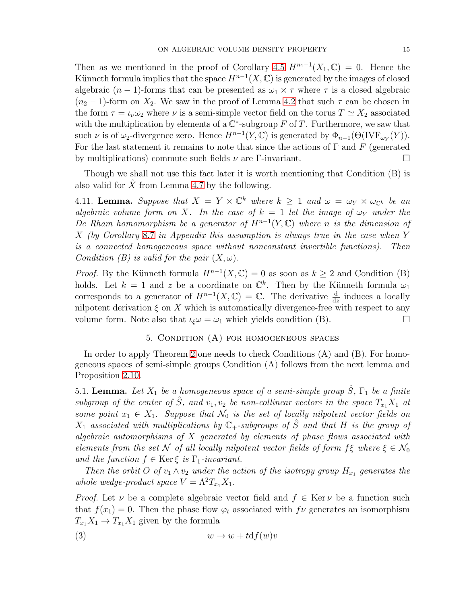Then as we mentioned in the proof of Corollary [4.5](#page-12-2)  $H^{n_1-1}(X_1,\mathbb{C})=0$ . Hence the Künneth formula implies that the space  $H^{n-1}(X,\mathbb{C})$  is generated by the images of closed algebraic  $(n-1)$ -forms that can be presented as  $\omega_1 \times \tau$  where  $\tau$  is a closed algebraic  $(n_2 - 1)$ -form on  $X_2$ . We saw in the proof of Lemma [4.2](#page-11-0) that such  $\tau$  can be chosen in the form  $\tau = \iota_{\nu} \omega_2$  where  $\nu$  is a semi-simple vector field on the torus  $T \simeq X_2$  associated with the multiplication by elements of a  $\mathbb{C}^*$ -subgroup F of T. Furthermore, we saw that such  $\nu$  is of  $\omega_2$ -divergence zero. Hence  $H^{n-1}(Y, \mathbb{C})$  is generated by  $\Phi_{n-1}(\Theta(\text{IVF}_{\omega_Y}(Y)).$ For the last statement it remains to note that since the actions of  $\Gamma$  and  $F$  (generated by multiplications) commute such fields  $\nu$  are Γ-invariant.

Though we shall not use this fact later it is worth mentioning that Condition (B) is also valid for  $\hat{X}$  from Lemma [4.7](#page-12-1) by the following.

4.11. **Lemma.** Suppose that  $X = Y \times \mathbb{C}^k$  where  $k \geq 1$  and  $\omega = \omega_Y \times \omega_{\mathbb{C}^k}$  be an algebraic volume form on X. In the case of  $k = 1$  let the image of  $\omega_Y$  under the De Rham homomorphism be a generator of  $H^{n-1}(Y,\mathbb{C})$  where n is the dimension of X (by Corollary [8.7](#page-25-7) in Appendix this assumption is always true in the case when Y is a connected homogeneous space without nonconstant invertible functions). Then Condition (B) is valid for the pair  $(X, \omega)$ .

*Proof.* By the Künneth formula  $H^{n-1}(X,\mathbb{C})=0$  as soon as  $k \geq 2$  and Condition (B) holds. Let  $k = 1$  and z be a coordinate on  $\mathbb{C}^k$ . Then by the Künneth formula  $\omega_1$ corresponds to a generator of  $H^{n-1}(X,\mathbb{C})=\mathbb{C}$ . The derivative  $\frac{d}{dz}$  induces a locally nilpotent derivation  $\xi$  on X which is automatically divergence-free with respect to any volume form. Note also that  $\iota_{\xi}\omega = \omega_1$  which yields condition (B).

## 5. Condition (A) for homogeneous spaces

In order to apply Theorem [2](#page-10-0) one needs to check Conditions (A) and (B). For homogeneous spaces of semi-simple groups Condition (A) follows from the next lemma and Proposition [2.10.](#page-4-1)

<span id="page-14-0"></span>5.1. Lemma. Let  $X_1$  be a homogeneous space of a semi-simple group  $\hat{S}$ ,  $\Gamma_1$  be a finite subgroup of the center of  $\hat{S}$ , and  $v_1, v_2$  be non-collinear vectors in the space  $T_{x_1}X_1$  at some point  $x_1 \in X_1$ . Suppose that  $\mathcal{N}_0$  is the set of locally nilpotent vector fields on  $X_1$  associated with multiplications by  $\mathbb{C}_+$ -subgroups of  $\hat{S}$  and that H is the group of algebraic automorphisms of  $X$  generated by elements of phase flows associated with elements from the set N of all locally nilpotent vector fields of form  $f\xi$  where  $\xi \in \mathcal{N}_0$ and the function  $f \in \text{Ker}\xi$  is  $\Gamma_1$ -invariant.

Then the orbit O of  $v_1 \wedge v_2$  under the action of the isotropy group  $H_{x_1}$  generates the whole wedge-product space  $V = \Lambda^2 T_{x_1} X_1$ .

*Proof.* Let  $\nu$  be a complete algebraic vector field and  $f \in \text{Ker } \nu$  be a function such that  $f(x_1) = 0$ . Then the phase flow  $\varphi_t$  associated with  $f\nu$  generates an isomorphism  $T_{x_1}X_1 \rightarrow T_{x_1}X_1$  given by the formula

$$
(3) \t\t\t w \to w + t \mathrm{d} f(w)v
$$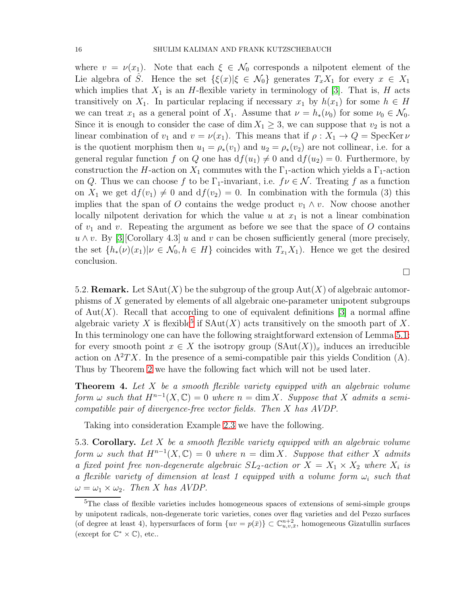where  $v = \nu(x_1)$ . Note that each  $\xi \in \mathcal{N}_0$  corresponds a nilpotent element of the Lie algebra of S. Hence the set  $\{\xi(x)|\xi \in \mathcal{N}_0\}$  generates  $T_xX_1$  for every  $x \in X_1$ which implies that  $X_1$  is an H-flexible variety in terminology of [\[3\]](#page-25-8). That is, H acts transitively on  $X_1$ . In particular replacing if necessary  $x_1$  by  $h(x_1)$  for some  $h \in H$ we can treat  $x_1$  as a general point of  $X_1$ . Assume that  $\nu = h_*(\nu_0)$  for some  $\nu_0 \in \mathcal{N}_0$ . Since it is enough to consider the case of dim  $X_1 \geq 3$ , we can suppose that  $v_2$  is not a linear combination of  $v_1$  and  $v = \nu(x_1)$ . This means that if  $\rho : X_1 \to Q = \text{SpecKer }\nu$ is the quotient morphism then  $u_1 = \rho_*(v_1)$  and  $u_2 = \rho_*(v_2)$  are not collinear, i.e. for a general regular function f on Q one has  $df(u_1) \neq 0$  and  $df(u_2) = 0$ . Furthermore, by construction the H-action on  $X_1$  commutes with the  $\Gamma_1$ -action which yields a  $\Gamma_1$ -action on Q. Thus we can choose f to be  $\Gamma_1$ -invariant, i.e.  $f \nu \in \mathcal{N}$ . Treating f as a function on  $X_1$  we get  $df(v_1) \neq 0$  and  $df(v_2) = 0$ . In combination with the formula (3) this implies that the span of O contains the wedge product  $v_1 \wedge v$ . Now choose another locally nilpotent derivation for which the value  $u$  at  $x_1$  is not a linear combination of  $v_1$  and v. Repeating the argument as before we see that the space of O contains  $u \wedge v$ . By [\[3\]](#page-25-8)[Corollary 4.3] u and v can be chosen sufficiently general (more precisely, the set  $\{h_*(\nu)(x_1)| \nu \in \mathcal{N}_0, h \in H\}$  coincides with  $T_{x_1}X_1$ . Hence we get the desired conclusion.

<span id="page-15-0"></span>5.2. **Remark.** Let  $SAut(X)$  be the subgroup of the group  $Aut(X)$  of algebraic automorphisms of X generated by elements of all algebraic one-parameter unipotent subgroups of Aut $(X)$ . Recall that according to one of equivalent definitions [\[3\]](#page-25-8) a normal affine algebraic variety X is flexible<sup>[5](#page-15-1)</sup> if  $SAut(X)$  acts transitively on the smooth part of X. In this terminology one can have the following straightforward extension of Lemma [5.1:](#page-14-0) for every smooth point  $x \in X$  the isotropy group  $(SAut(X))_x$  induces an irreducible action on  $\Lambda^2TX$ . In the presence of a semi-compatible pair this yields Condition (A). Thus by Theorem [2](#page-10-0) we have the following fact which will not be used later.

 $\Box$ 

**Theorem 4.** Let  $X$  be a smooth flexible variety equipped with an algebraic volume form  $\omega$  such that  $H^{n-1}(X,\mathbb{C})=0$  where  $n=\dim X$ . Suppose that X admits a semicompatible pair of divergence-free vector fields. Then X has AVDP.

Taking into consideration Example [2.3](#page-3-1) we have the following.

5.3. Corollary. Let X be a smooth flexible variety equipped with an algebraic volume form  $\omega$  such that  $H^{n-1}(X,\mathbb{C})=0$  where  $n=\dim X$ . Suppose that either X admits a fixed point free non-degenerate algebraic  $SL_2$ -action or  $X = X_1 \times X_2$  where  $X_i$  is a flexible variety of dimension at least 1 equipped with a volume form  $\omega_i$  such that  $\omega = \omega_1 \times \omega_2$ . Then X has AVDP.

<span id="page-15-1"></span><sup>&</sup>lt;sup>5</sup>The class of flexible varieties includes homogeneous spaces of extensions of semi-simple groups by unipotent radicals, non-degenerate toric varieties, cones over flag varieties and del Pezzo surfaces (of degree at least 4), hypersurfaces of form  $\{uv = p(\bar{x})\} \subset \mathbb{C}_{u,v,\bar{x}}^{n+2}$ , homogeneous Gizatullin surfaces (except for  $\mathbb{C}^* \times \mathbb{C}$ ), etc..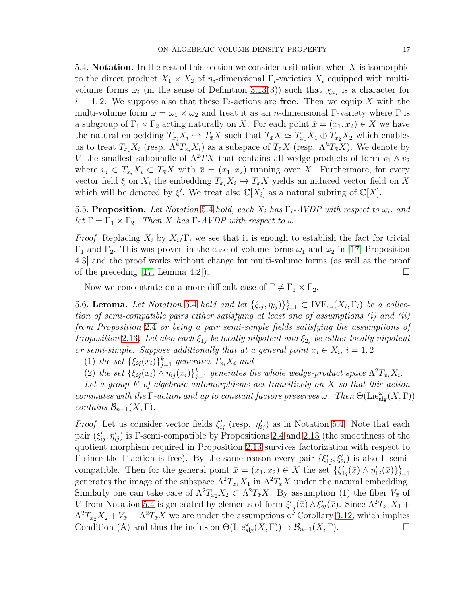<span id="page-16-0"></span>5.4. **Notation.** In the rest of this section we consider a situation when  $X$  is isomorphic to the direct product  $X_1 \times X_2$  of  $n_i$ -dimensional  $\Gamma_i$ -varieties  $X_i$  equipped with multivolume forms  $\omega_i$  (in the sense of Definition [3.13\(](#page-10-2)3)) such that  $\chi_{\omega_i}$  is a character for  $i = 1, 2$ . We suppose also that these  $\Gamma_i$ -actions are free. Then we equip X with the multi-volume form  $\omega = \omega_1 \times \omega_2$  and treat it as an *n*-dimensional Γ-variety where Γ is a subgroup of  $\Gamma_1 \times \Gamma_2$  acting naturally on X. For each point  $\bar{x} = (x_1, x_2) \in X$  we have the natural embedding  $T_{x_i}X_i \hookrightarrow T_{\bar{x}}X$  such that  $T_{\bar{x}}X \simeq T_{x_1}X_1 \oplus T_{x_2}X_2$  which enables us to treat  $T_{x_i}X_i$  (resp.  $\Lambda^k T_{x_i}X_i$ ) as a subspace of  $T_{\bar{x}}X$  (resp.  $\Lambda^k T_{\bar{x}}X$ ). We denote by V the smallest subbundle of  $\Lambda^2TX$  that contains all wedge-products of form  $v_1 \wedge v_2$ where  $v_i \in T_{x_i} X_i \subset T_{\bar{x}} X$  with  $\bar{x} = (x_1, x_2)$  running over X. Furthermore, for every vector field  $\xi$  on  $X_i$  the embedding  $T_{x_i}X_i \hookrightarrow T_{\bar{x}}X$  yields an induced vector field on X which will be denoted by  $\xi'$ . We treat also  $\mathbb{C}[X_i]$  as a natural subring of  $\mathbb{C}[X]$ .

<span id="page-16-2"></span>5.5. Proposition. Let Notation [5.4](#page-16-0) hold, each  $X_i$  has  $\Gamma_i$ -AVDP with respect to  $\omega_i$ , and let  $\Gamma = \Gamma_1 \times \Gamma_2$ . Then X has  $\Gamma$ -AVDP with respect to  $\omega$ .

*Proof.* Replacing  $X_i$  by  $X_i/\Gamma_i$  we see that it is enough to establish the fact for trivial  $\Gamma_1$  and  $\Gamma_2$ . This was proven in the case of volume forms  $\omega_1$  and  $\omega_2$  in [\[17,](#page-26-7) Proposition 4.3] and the proof works without change for multi-volume forms (as well as the proof of the preceding [\[17,](#page-26-7) Lemma 4.2]).

Now we concentrate on a more difficult case of  $\Gamma \neq \Gamma_1 \times \Gamma_2$ .

<span id="page-16-1"></span>5.6. Lemma. Let Notation [5.4](#page-16-0) hold and let  $\{\xi_{ij}, \eta_{ij}\}_{j=1}^k \subset \text{IVF}_{\omega_i}(X_i, \Gamma_i)$  be a collection of semi-compatible pairs either satisfying at least one of assumptions  $(i)$  and  $(ii)$ from Proposition [2.4](#page-3-0) or being a pair semi-simple fields satisfying the assumptions of Proposition [2.13](#page-5-2). Let also each  $\xi_{1j}$  be locally nilpotent and  $\xi_{2j}$  be either locally nilpotent or semi-simple. Suppose additionally that at a general point  $x_i \in X_i$ ,  $i = 1, 2$ 

(1) the set  $\{\xi_{ij}(x_i)\}_{j=1}^k$  generates  $T_{x_i}X_i$  and

(2) the set  $\{\xi_{ij}(x_i) \wedge \eta_{ij}(x_i)\}_{j=1}^k$  generates the whole wedge-product space  $\Lambda^2 T_{x_i} X_i$ .

Let a group F of algebraic automorphisms act transitively on X so that this action commutes with the  $\Gamma$ -action and up to constant factors preserves  $\omega$ . Then  $\Theta(\mathrm{Lie}_{\mathrm{alg}}^{\omega}(X,\Gamma))$ contains  $\mathcal{B}_{n-1}(X,\Gamma)$ .

*Proof.* Let us consider vector fields  $\xi'_{ij}$  (resp.  $\eta'_{ij}$ ) as in Notation [5.4.](#page-16-0) Note that each pair  $(\xi'_{ij}, \eta'_{ij})$  is Γ-semi-compatible by Propositions [2.4](#page-3-0) and [2.13](#page-5-2) (the smoothness of the quotient morphism required in Proposition [2.13](#page-5-2) survives factorization with respect to  $Γ$  since the Γ-action is free). By the same reason every pair  $\{\xi_1$  $\zeta'_{1j}, \xi'_{2l}$ ) is also Γ-semicompatible. Then for the general point  $\bar{x} = (x_1, x_2) \in X$  the set  $\{\xi_1$  $\eta'_{1j}(\bar{x}) \wedge \eta'_{1}$  $_{1j}^{\prime}(\bar{x})\}_{j=1}^{k}$ generates the image of the subspace  $\Lambda^2 T_{x_1} X_1$  in  $\Lambda^2 T_{\bar{x}} X$  under the natural embedding. Similarly one can take care of  $\Lambda^2 T_{x_2} X_2 \subset \Lambda^2 T_{\bar{x}} X$ . By assumption (1) the fiber  $V_{\bar{x}}$  of V from Notation [5.4](#page-16-0) is generated by elements of form  $\xi_1'$  $\zeta'_{1j}(\bar{x})\wedge \xi'_{2}$  $\chi_{2l}(\bar{x})$ . Since  $\Lambda^2 T_{x_1} X_1 +$  $\Lambda^2 T_{x_2} X_2 + V_{\bar{x}} = \Lambda^2 T_{\bar{x}} X$  we are under the assumptions of Corollary [3.12,](#page-10-3) which implies Condition (A) and thus the inclusion  $\Theta(\mathrm{Lie}_{\mathrm{alg}}^{\omega}(X,\Gamma)) \supset \mathcal{B}_{n-1}(X,\Gamma).$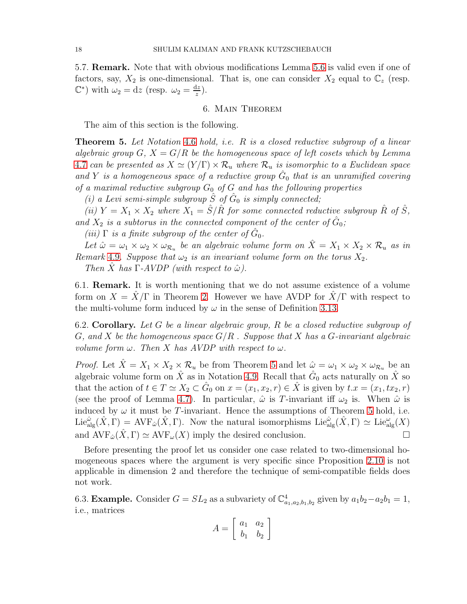5.7. Remark. Note that with obvious modifications Lemma [5.6](#page-16-1) is valid even if one of factors, say,  $X_2$  is one-dimensional. That is, one can consider  $X_2$  equal to  $\mathbb{C}_z$  (resp.  $\mathbb{C}^*$ ) with  $\omega_2 = dz$  (resp.  $\omega_2 = \frac{dz}{z}$  $rac{iz}{z}$ ).

#### 6. Main Theorem

The aim of this section is the following.

<span id="page-17-0"></span>Theorem 5. Let Notation [4.6](#page-12-0) hold, i.e. R is a closed reductive subgroup of a linear algebraic group  $G, X = G/R$  be the homogeneous space of left cosets which by Lemma [4.7](#page-12-1) can be presented as  $X \simeq (Y/\Gamma) \times \mathcal{R}_u$  where  $\mathcal{R}_u$  is isomorphic to a Euclidean space and Y is a homogeneous space of a reductive group  $\hat{G}_0$  that is an unramified covering of a maximal reductive subgroup  $G_0$  of  $G$  and has the following properties

(i) a Levi semi-simple subgroup  $\hat{S}$  of  $\hat{G}_0$  is simply connected;

(ii)  $Y = X_1 \times X_2$  where  $X_1 = \hat{S}/\hat{R}$  for some connected reductive subgroup  $\hat{R}$  of  $\hat{S}$ , and  $X_2$  is a subtorus in the connected component of the center of  $\hat{G}_0$ ;

(iii)  $\Gamma$  is a finite subgroup of the center of  $\hat{G}_0$ .

Let  $\hat{\omega} = \omega_1 \times \omega_2 \times \omega_{\mathcal{R}_u}$  be an algebraic volume form on  $\hat{X} = X_1 \times X_2 \times \mathcal{R}_u$  as in Remark [4.9](#page-13-0). Suppose that  $\omega_2$  is an invariant volume form on the torus  $X_2$ .

Then X has  $\Gamma$ -AVDP (with respect to  $\hat{\omega}$ ).

<span id="page-17-1"></span>6.1. Remark. It is worth mentioning that we do not assume existence of a volume form on  $X = \overline{X}/\Gamma$  in Theorem [2.](#page-10-0) However we have AVDP for  $\overline{X}/\Gamma$  with respect to the multi-volume form induced by  $\omega$  in the sense of Definition [3.13.](#page-10-2)

<span id="page-17-2"></span>6.2. Corollary. Let G be a linear algebraic group, R be a closed reductive subgroup of G, and X be the homogeneous space  $G/R$ . Suppose that X has a G-invariant algebraic volume form  $\omega$ . Then X has AVDP with respect to  $\omega$ .

*Proof.* Let  $\hat{X} = X_1 \times X_2 \times \mathcal{R}_u$  be from Theorem [5](#page-17-0) and let  $\hat{\omega} = \omega_1 \times \omega_2 \times \omega_{\mathcal{R}_u}$  be an algebraic volume form on  $\hat{X}$  as in Notation [4.9.](#page-13-0) Recall that  $\hat{G}_0$  acts naturally on  $\hat{X}$  so that the action of  $t \in T \simeq X_2 \subset \hat{G}_0$  on  $x = (x_1, x_2, r) \in \hat{X}$  is given by  $t \cdot x = (x_1, tx_2, r)$ (see the proof of Lemma [4.7\)](#page-12-1). In particular,  $\hat{\omega}$  is T-invariant iff  $\omega_2$  is. When  $\hat{\omega}$  is induced by  $\omega$  it must be T-invariant. Hence the assumptions of Theorem [5](#page-17-0) hold, i.e.  $\text{Lie}^{\hat{\omega}}_{\text{alg}}(\hat{X}, \Gamma) = \text{AVF}_{\hat{\omega}}(\hat{X}, \Gamma)$ . Now the natural isomorphisms  $\text{Lie}^{\hat{\omega}}_{\text{alg}}(\hat{X}, \Gamma) \simeq \text{Lie}^{\omega}_{\text{alg}}(X)$ and  $AVF_{\hat{\omega}}(\hat{X}, \Gamma) \simeq AVF_{\omega}(X)$  imply the desired conclusion.

Before presenting the proof let us consider one case related to two-dimensional homogeneous spaces where the argument is very specific since Proposition [2.10](#page-4-1) is not applicable in dimension 2 and therefore the technique of semi-compatible fields does not work.

<span id="page-17-3"></span>6.3. **Example.** Consider  $G = SL_2$  as a subvariety of  $\mathbb{C}^4_{a_1, a_2, b_1, b_2}$  given by  $a_1b_2 - a_2b_1 = 1$ , i.e., matrices

$$
A = \left[ \begin{array}{cc} a_1 & a_2 \\ b_1 & b_2 \end{array} \right]
$$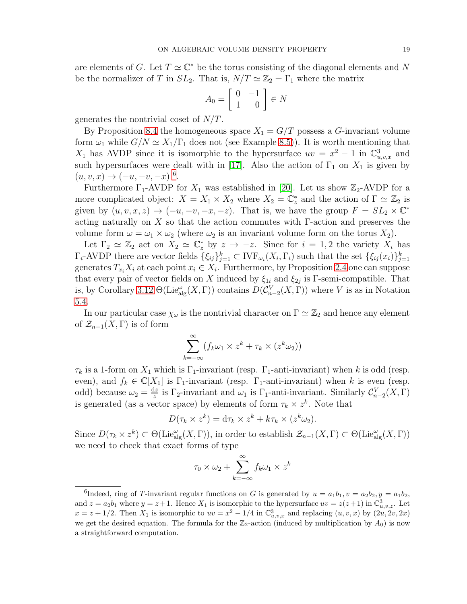are elements of G. Let  $T \simeq \mathbb{C}^*$  be the torus consisting of the diagonal elements and N be the normalizer of T in  $SL_2$ . That is,  $N/T \simeq \mathbb{Z}_2 = \Gamma_1$  where the matrix

$$
A_0 = \left[ \begin{array}{cc} 0 & -1 \\ 1 & 0 \end{array} \right] \in N
$$

generates the nontrivial coset of  $N/T$ .

By Proposition [8.4](#page-23-0) the homogeneous space  $X_1 = G/T$  possess a G-invariant volume form  $\omega_1$  while  $G/N \simeq X_1/\Gamma_1$  does not (see Example [8.5\)](#page-24-0)). It is worth mentioning that  $X_1$  has AVDP since it is isomorphic to the hypersurface  $uv = x^2 - 1$  in  $\mathbb{C}^3_{u,v,x}$  and such hypersurfaces were dealt with in [\[17\]](#page-26-7). Also the action of  $\Gamma_1$  on  $X_1$  is given by  $(u, v, x) \to (-u, -v, -x)$ <sup>[6](#page-18-0)</sup>.

Furthermore  $\Gamma_1$ -AVDP for  $X_1$  was established in [\[20\]](#page-26-20). Let us show  $\mathbb{Z}_2$ -AVDP for a more complicated object:  $X = X_1 \times X_2$  where  $X_2 = \mathbb{C}_z^*$  $\frac{1}{z}$  and the action of  $\Gamma \simeq \mathbb{Z}_2$  is given by  $(u, v, x, z) \rightarrow (-u, -v, -x, -z)$ . That is, we have the group  $F = SL_2 \times \mathbb{C}^*$ acting naturally on X so that the action commutes with  $\Gamma$ -action and preserves the volume form  $\omega = \omega_1 \times \omega_2$  (where  $\omega_2$  is an invariant volume form on the torus  $X_2$ ).

Let  $\Gamma_2 \simeq \mathbb{Z}_2$  act on  $X_2 \simeq \mathbb{C}^*_{z}$  by  $z \to -z$ . Since for  $i = 1, 2$  the variety  $X_i$  has  $\Gamma_i$ -AVDP there are vector fields  $\{\xi_{ij}\}_{j=1}^k \subset \text{IVF}_{\omega_i}(X_i, \Gamma_i)$  such that the set  $\{\xi_{ij}(x_i)\}_{j=1}^k$ generates  $T_{x_i} X_i$  at each point  $x_i \in X_i$ . Furthermore, by Proposition [2.4](#page-3-0) one can suppose that every pair of vector fields on X induced by  $\xi_{1i}$  and  $\xi_{2j}$  is  $\Gamma$ -semi-compatible. That is, by Corollary [3.12](#page-10-3)  $\Theta(\mathrm{Lie}_{\mathrm{alg}}^{\omega}(X,\Gamma))$  contains  $D(\mathcal{C}_{n-2}^V(X,\Gamma))$  where V is as in Notation [5.4.](#page-16-0)

In our particular case  $\chi_{\omega}$  is the nontrivial character on  $\Gamma \simeq \mathbb{Z}_2$  and hence any element of  $\mathcal{Z}_{n-1}(X,\Gamma)$  is of form

$$
\sum_{k=-\infty}^{\infty} (f_k \omega_1 \times z^k + \tau_k \times (z^k \omega_2))
$$

 $\tau_k$  is a 1-form on  $X_1$  which is  $\Gamma_1$ -invariant (resp.  $\Gamma_1$ -anti-invariant) when k is odd (resp. even), and  $f_k \in \mathbb{C}[X_1]$  is  $\Gamma_1$ -invariant (resp.  $\Gamma_1$ -anti-invariant) when k is even (resp. odd) because  $\omega_2 = \frac{dz}{z}$  $\frac{dz}{z}$  is  $\Gamma_2$ -invariant and  $\omega_1$  is  $\Gamma_1$ -anti-invariant. Similarly  $\mathcal{C}_{n-2}^V(X,\Gamma)$ is generated (as a vector space) by elements of form  $\tau_k \times z^k$ . Note that

$$
D(\tau_k \times z^k) = d\tau_k \times z^k + k\tau_k \times (z^k \omega_2).
$$

Since  $D(\tau_k \times z^k) \subset \Theta(\mathrm{Lie}_{\mathrm{alg}}^{\omega}(X, \Gamma)),$  in order to establish  $\mathcal{Z}_{n-1}(X, \Gamma) \subset \Theta(\mathrm{Lie}_{\mathrm{alg}}^{\omega}(X, \Gamma))$ we need to check that exact forms of type

$$
\tau_0 \times \omega_2 + \sum_{k=-\infty}^{\infty} f_k \omega_1 \times z^k
$$

<span id="page-18-0"></span><sup>&</sup>lt;sup>6</sup>Indeed, ring of T-invariant regular functions on G is generated by  $u = a_1b_1, v = a_2b_2, y = a_1b_2,$ and  $z = a_2b_1$  where  $y = z + 1$ . Hence  $X_1$  is isomorphic to the hypersurface  $uv = z(z+1)$  in  $\mathbb{C}^3_{u,v,z}$ . Let  $x = z + 1/2$ . Then  $X_1$  is isomorphic to  $uv = x^2 - 1/4$  in  $\mathbb{C}^3_{u,v,x}$  and replacing  $(u, v, x)$  by  $(2u, 2v, 2x)$ we get the desired equation. The formula for the  $\mathbb{Z}_2$ -action (induced by multiplication by  $A_0$ ) is now a straightforward computation.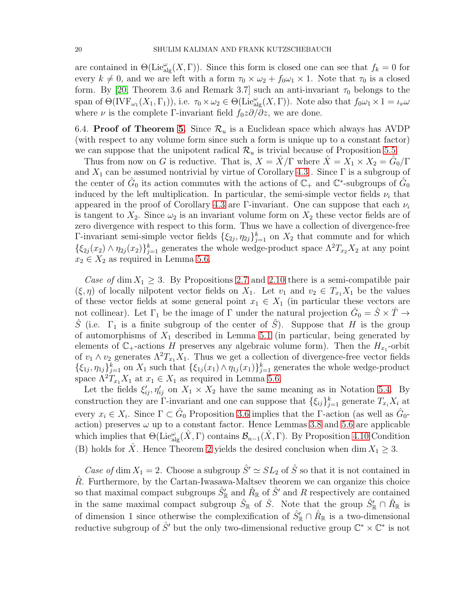are contained in  $\Theta(\mathrm{Lie}_{\mathrm{alg}}^{\omega}(X,\Gamma)).$  Since this form is closed one can see that  $f_k = 0$  for every  $k \neq 0$ , and we are left with a form  $\tau_0 \times \omega_2 + f_0 \omega_1 \times 1$ . Note that  $\tau_0$  is a closed form. By [\[20,](#page-26-20) Theorem 3.6 and Remark 3.7] such an anti-invariant  $\tau_0$  belongs to the span of  $\Theta(\text{IVF}_{\omega_1}(X_1,\Gamma_1)),$  i.e.  $\tau_0 \times \omega_2 \in \Theta(\text{Lie}_{\text{alg}}^{\omega}(X,\Gamma)).$  Note also that  $f_0\omega_1 \times 1 = \iota_{\nu}\omega$ where  $\nu$  is the complete Γ-invariant field  $f_0z\partial/\partial z$ , we are done.

6.4. Proof of Theorem [5.](#page-17-0) Since  $\mathcal{R}_u$  is a Euclidean space which always has AVDP (with respect to any volume form since such a form is unique up to a constant factor) we can suppose that the unipotent radical  $\mathcal{R}_u$  is trivial because of Proposition [5.5.](#page-16-2)

Thus from now on G is reductive. That is,  $X = \hat{X}/\Gamma$  where  $\hat{X} = X_1 \times X_2 = \hat{G}_0/\Gamma$ and  $X_1$  can be assumed nontrivial by virtue of Corollary [4.3](#page-12-3). Since  $\Gamma$  is a subgroup of the center of  $\hat{G}_0$  its action commutes with the actions of  $\mathbb{C}_+$  and  $\mathbb{C}^*$ -subgroups of  $\hat{G}_0$ induced by the left multiplication. In particular, the semi-simple vector fields  $\nu_i$  that appeared in the proof of Corollary [4.3](#page-12-3) are Γ-invariant. One can suppose that each  $\nu_i$ is tangent to  $X_2$ . Since  $\omega_2$  is an invariant volume form on  $X_2$  these vector fields are of zero divergence with respect to this form. Thus we have a collection of divergence-free Γ-invariant semi-simple vector fields  $\{\xi_{2j}, \eta_{2j}\}_{j=1}^k$  on  $X_2$  that commute and for which  $\{\xi_{2j}(x_2) \wedge \eta_{2j}(x_2)\}_{j=1}^k$  generates the whole wedge-product space  $\Lambda^2 T_{x_2} X_2$  at any point  $x_2 \in X_2$  as required in Lemma [5.6.](#page-16-1)

Case of dim  $X_1 \geq 3$ . By Propositions [2.7](#page-4-0) and [2.10](#page-4-1) there is a semi-compatible pair  $(\xi, \eta)$  of locally nilpotent vector fields on  $X_1$ . Let  $v_1$  and  $v_2 \in T_{x_1}X_1$  be the values of these vector fields at some general point  $x_1 \in X_1$  (in particular these vectors are not collinear). Let  $\Gamma_1$  be the image of  $\Gamma$  under the natural projection  $\hat{G}_0 = \hat{S} \times \hat{T} \rightarrow$ S (i.e.  $\Gamma_1$  is a finite subgroup of the center of S). Suppose that H is the group of automorphisms of  $X_1$  described in Lemma [5.1](#page-14-0) (in particular, being generated by elements of  $\mathbb{C}_+$ -actions H preserves any algebraic volume form). Then the  $H_{x_1}$ -orbit of  $v_1 \wedge v_2$  generates  $\Lambda^2 T_{x_1} X_1$ . Thus we get a collection of divergence-free vector fields  $\{\xi_{1j},\eta_{1j}\}_{j=1}^k$  on  $X_1$  such that  $\{\xi_{1j}(x_1) \wedge \eta_{1j}(x_1)\}_{j=1}^k$  generates the whole wedge-product space  $\Lambda^2 T_{x_1} X_1$  at  $x_1 \in X_1$  as required in Lemma [5.6.](#page-16-1)

Let the fields  $\xi'_{ij}, \eta'_{ij}$  on  $X_1 \times X_2$  have the same meaning as in Notation [5.4.](#page-16-0) By construction they are Γ-invariant and one can suppose that  $\{\xi_{ij}\}_{j=1}^k$  generate  $T_{x_i} X_i$  at every  $x_i \in X_i$ . Since  $\Gamma \subset \hat{G}_0$  Proposition [3.6](#page-8-2) implies that the  $\Gamma$ -action (as well as  $\hat{G}_0$ action) preserves  $\omega$  up to a constant factor. Hence Lemmas [3.8](#page-8-1) and [5.6](#page-16-1) are applicable which implies that  $\Theta(\text{Lie}_{\text{alg}}^{\omega}(\hat{X}, \Gamma))$  contains  $\mathcal{B}_{n-1}(\hat{X}, \Gamma)$ . By Proposition [4.10](#page-13-1) Condition (B) holds for  $\hat{X}$ . Hence Theorem [2](#page-10-0) yields the desired conclusion when dim  $X_1 \geq 3$ .

Case of dim  $X_1 = 2$ . Choose a subgroup  $\hat{S}' \simeq SL_2$  of  $\hat{S}$  so that it is not contained in  $R$ . Furthermore, by the Cartan-Iwasawa-Maltsev theorem we can organize this choice so that maximal compact subgroups  $\hat{S}'_{\mathbb{R}}$  and  $\hat{R}_{\mathbb{R}}$  of  $\hat{S}'$  and R respectively are contained in the same maximal compact subgroup  $\hat{S}_{\mathbb{R}}$  of  $\hat{S}$ . Note that the group  $\hat{S}_{\mathbb{R}}' \cap \hat{R}_{\mathbb{R}}$  is of dimension 1 since otherwise the complexification of  $\hat{S}'_{\mathbb{R}} \cap \hat{R}_{\mathbb{R}}$  is a two-dimensional reductive subgroup of  $\hat{S}'$  but the only two-dimensional reductive group  $\mathbb{C}^* \times \mathbb{C}^*$  is not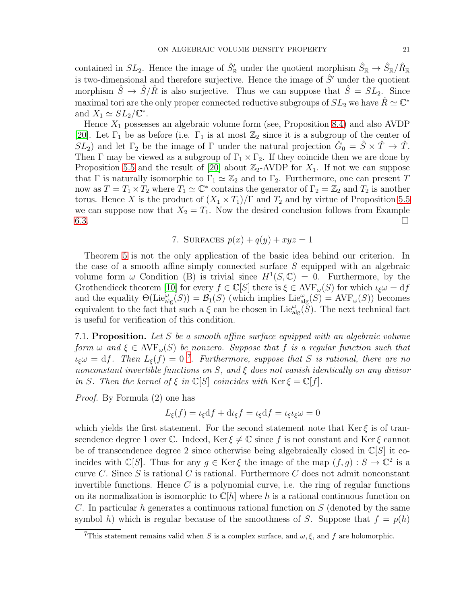contained in  $SL_2$ . Hence the image of  $\hat{S}'_{\mathbb{R}}$  under the quotient morphism  $\hat{S}_{\mathbb{R}} \to \hat{S}_{\mathbb{R}}/\hat{R}_{\mathbb{R}}$ is two-dimensional and therefore surjective. Hence the image of  $\hat{S}'$  under the quotient morphism  $\hat{S} \to \hat{S}/\hat{R}$  is also surjective. Thus we can suppose that  $\hat{S} = SL_2$ . Since maximal tori are the only proper connected reductive subgroups of  $SL_2$  we have  $\hat{R} \simeq \mathbb{C}^*$ and  $X_1 \simeq SL_2/\mathbb{C}^*$ .

Hence  $X_1$  possesses an algebraic volume form (see, Proposition [8.4\)](#page-23-0) and also AVDP [\[20\]](#page-26-20). Let  $\Gamma_1$  be as before (i.e.  $\Gamma_1$  is at most  $\mathbb{Z}_2$  since it is a subgroup of the center of  $SL_2$ ) and let  $\Gamma_2$  be the image of  $\Gamma$  under the natural projection  $\hat{G}_0 = \hat{S} \times \hat{T} \to \hat{T}$ . Then Γ may be viewed as a subgroup of  $\Gamma_1 \times \Gamma_2$ . If they coincide then we are done by Proposition [5.5](#page-16-2) and the result of [\[20\]](#page-26-20) about  $\mathbb{Z}_2$ -AVDP for  $X_1$ . If not we can suppose that Γ is naturally isomorphic to  $\Gamma_1 \simeq \mathbb{Z}_2$  and to  $\Gamma_2$ . Furthermore, one can present T now as  $T = T_1 \times T_2$  where  $T_1 \simeq \mathbb{C}^*$  contains the generator of  $\Gamma_2 = \mathbb{Z}_2$  and  $T_2$  is another torus. Hence X is the product of  $(X_1 \times T_1)/\Gamma$  and  $T_2$  and by virtue of Proposition [5.5](#page-16-2) we can suppose now that  $X_2 = T_1$ . Now the desired conclusion follows from Example  $6.3.$ 

# 7. SURFACES  $p(x) + q(y) + xyz = 1$

<span id="page-20-0"></span>Theorem [5](#page-17-0) is not the only application of the basic idea behind our criterion. In the case of a smooth affine simply connected surface S equipped with an algebraic volume form  $\omega$  Condition (B) is trivial since  $H^1(S, \mathbb{C}) = 0$ . Furthermore, by the Grothendieck theorem [\[10\]](#page-26-21) for every  $f \in \mathbb{C}[S]$  there is  $\xi \in \text{AVF}_{\omega}(S)$  for which  $\iota_{\xi}\omega = df$ and the equality  $\Theta(\mathrm{Lie}_{\mathrm{alg}}^{\omega}(S)) = \mathcal{B}_1(S)$  (which implies  $\mathrm{Lie}_{\mathrm{alg}}^{\omega}(S) = \mathrm{AVF}_{\omega}(S)$ ) becomes equivalent to the fact that such a  $\xi$  can be chosen in Lie  $_{\text{alg}}^{\omega}(\check{S})$ . The next technical fact is useful for verification of this condition.

<span id="page-20-2"></span>7.1. Proposition. Let S be a smooth affine surface equipped with an algebraic volume form  $\omega$  and  $\xi \in \text{AVF}_{\omega}(S)$  be nonzero. Suppose that f is a regular function such that  $u_{\xi}\omega = df$ . Then  $L_{\xi}(f) = 0$ <sup>[7](#page-20-1)</sup>. Furthermore, suppose that S is rational, there are no nonconstant invertible functions on S, and  $\xi$  does not vanish identically on any divisor in S. Then the kernel of  $\xi$  in  $\mathbb{C}[S]$  coincides with  $\text{Ker } \xi = \mathbb{C}[f].$ 

Proof. By Formula (2) one has

$$
L_{\xi}(f) = \iota_{\xi} df + d\iota_{\xi} f = \iota_{\xi} df = \iota_{\xi} \iota_{\xi} \omega = 0
$$

which yields the first statement. For the second statement note that Ker  $\xi$  is of transcendence degree 1 over C. Indeed, Ker  $\xi \neq \mathbb{C}$  since f is not constant and Ker  $\xi$  cannot be of transcendence degree 2 since otherwise being algebraically closed in  $\mathbb{C}[S]$  it coincides with  $\mathbb{C}[S]$ . Thus for any  $g \in \text{Ker}\,\xi$  the image of the map  $(f, g) : S \to \mathbb{C}^2$  is a curve  $C$ . Since  $S$  is rational  $C$  is rational. Furthermore  $C$  does not admit nonconstant invertible functions. Hence  $C$  is a polynomial curve, i.e. the ring of regular functions on its normalization is isomorphic to  $\mathbb{C}[h]$  where h is a rational continuous function on  $C$ . In particular  $h$  generates a continuous rational function on  $S$  (denoted by the same symbol h) which is regular because of the smoothness of S. Suppose that  $f = p(h)$ 

<span id="page-20-1"></span>This statement remains valid when S is a complex surface, and  $\omega, \xi$ , and f are holomorphic.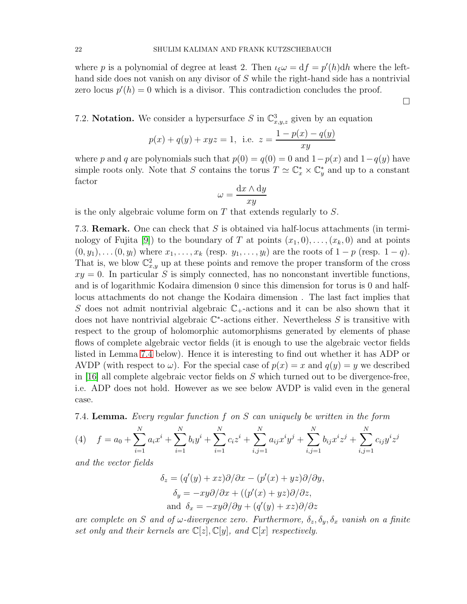where p is a polynomial of degree at least 2. Then  $\iota_{\xi}\omega = df = p'(h)dh$  where the lefthand side does not vanish on any divisor of S while the right-hand side has a nontrivial zero locus  $p'(h) = 0$  which is a divisor. This contradiction concludes the proof.

<span id="page-21-1"></span>7.2. **Notation.** We consider a hypersurface S in  $\mathbb{C}^3_{x,y,z}$  given by an equation

$$
p(x) + q(y) + xyz = 1
$$
, i.e.  $z = \frac{1 - p(x) - q(y)}{xy}$ 

where p and q are polynomials such that  $p(0) = q(0) = 0$  and  $1-p(x)$  and  $1-q(y)$  have simple roots only. Note that S contains the torus  $T \simeq \mathbb{C}_x^* \times \mathbb{C}_y^*$  and up to a constant factor

$$
\omega = \frac{\mathrm{d}x \wedge \mathrm{d}y}{xy}
$$

is the only algebraic volume form on  $T$  that extends regularly to  $S$ .

7.3. Remark. One can check that S is obtained via half-locus attachments (in termi-nology of Fujita [\[9\]](#page-25-6)) to the boundary of T at points  $(x_1, 0), \ldots, (x_k, 0)$  and at points  $(0, y_1), \ldots (0, y_l)$  where  $x_1, \ldots, x_k$  (resp.  $y_1, \ldots, y_l$ ) are the roots of  $1 - p$  (resp.  $1 - q$ ). That is, we blow  $\mathbb{C}^2_{x,y}$  up at these points and remove the proper transform of the cross  $xy = 0$ . In particular S is simply connected, has no nonconstant invertible functions, and is of logarithmic Kodaira dimension 0 since this dimension for torus is 0 and halflocus attachments do not change the Kodaira dimension . The last fact implies that S does not admit nontrivial algebraic  $\mathbb{C}_+$ -actions and it can be also shown that it does not have nontrivial algebraic  $\mathbb{C}^*$ -actions either. Nevertheless S is transitive with respect to the group of holomorphic automorphisms generated by elements of phase flows of complete algebraic vector fields (it is enough to use the algebraic vector fields listed in Lemma [7.4](#page-21-0) below). Hence it is interesting to find out whether it has ADP or AVDP (with respect to  $\omega$ ). For the special case of  $p(x) = x$  and  $q(y) = y$  we described in [\[16\]](#page-26-3) all complete algebraic vector fields on S which turned out to be divergence-free, i.e. ADP does not hold. However as we see below AVDP is valid even in the general case.

<span id="page-21-0"></span>7.4. Lemma. Every regular function f on S can uniquely be written in the form

(4) 
$$
f = a_0 + \sum_{i=1}^{N} a_i x^i + \sum_{i=1}^{N} b_i y^i + \sum_{i=1}^{N} c_i z^i + \sum_{i,j=1}^{N} a_{ij} x^i y^j + \sum_{i,j=1}^{N} b_{ij} x^i z^j + \sum_{i,j=1}^{N} c_{ij} y^i z^j
$$

and the vector fields

$$
\delta_z = (q'(y) + xz)\partial/\partial x - (p'(x) + yz)\partial/\partial y,
$$
  
\n
$$
\delta_y = -xy\partial/\partial x + ((p'(x) + yz)\partial/\partial z,
$$
  
\nand 
$$
\delta_x = -xy\partial/\partial y + (q'(y) + xz)\partial/\partial z
$$

are complete on S and of  $\omega$ -divergence zero. Furthermore,  $\delta_z$ ,  $\delta_y$ ,  $\delta_x$  vanish on a finite set only and their kernels are  $\mathbb{C}[z], \mathbb{C}[y]$ , and  $\mathbb{C}[x]$  respectively.

 $\Box$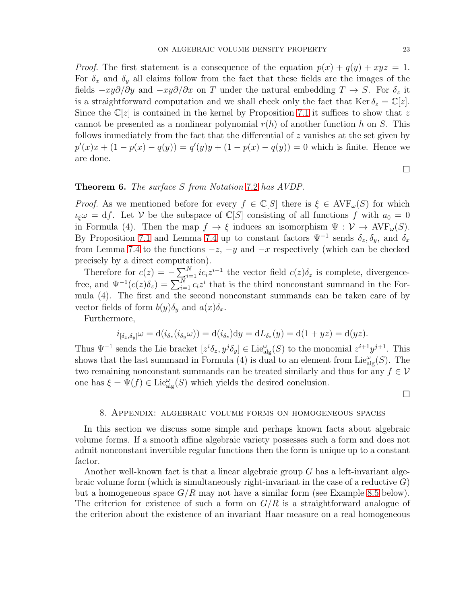*Proof.* The first statement is a consequence of the equation  $p(x) + q(y) + xyz = 1$ . For  $\delta_x$  and  $\delta_y$  all claims follow from the fact that these fields are the images of the fields  $-xy\partial/\partial y$  and  $-xy\partial/\partial x$  on T under the natural embedding  $T \to S$ . For  $\delta_z$  it is a straightforward computation and we shall check only the fact that  $\text{Ker } \delta_z = \mathbb{C}[z]$ . Since the  $\mathbb{C}[z]$  is contained in the kernel by Proposition [7.1](#page-20-2) it suffices to show that z cannot be presented as a nonlinear polynomial  $r(h)$  of another function h on S. This follows immediately from the fact that the differential of z vanishes at the set given by  $p'(x)x + (1 - p(x) - q(y)) = q'(y)y + (1 - p(x) - q(y)) = 0$  which is finite. Hence we are done.

 $\Box$ 

## Theorem 6. The surface S from Notation [7.2](#page-21-1) has AVDP.

*Proof.* As we mentioned before for every  $f \in \mathbb{C}[S]$  there is  $\xi \in \text{AVF}_{\omega}(S)$  for which  $\iota_{\xi}\omega = df$ . Let V be the subspace of  $\mathbb{C}[S]$  consisting of all functions f with  $a_0 = 0$ in Formula (4). Then the map  $f \to \xi$  induces an isomorphism  $\Psi : \mathcal{V} \to \text{AVF}_{\omega}(S)$ . By Proposition [7.1](#page-20-2) and Lemma [7.4](#page-21-0) up to constant factors  $\Psi^{-1}$  sends  $\delta_z$ ,  $\delta_y$ , and  $\delta_x$ from Lemma [7.4](#page-21-0) to the functions  $-z$ ,  $-y$  and  $-x$  respectively (which can be checked precisely by a direct computation).

Therefore for  $c(z) = -\sum_{i=1}^{N} ic_i z^{i-1}$  the vector field  $c(z)\delta_z$  is complete, divergencefree, and  $\Psi^{-1}(c(z)\delta_z) = \sum_{i=1}^{N} c_i z^i$  that is the third nonconstant summand in the Formula (4). The first and the second nonconstant summands can be taken care of by vector fields of form  $b(y)\delta_y$  and  $a(x)\delta_x$ .

Furthermore,

$$
i_{\left[\delta_z,\delta_y\right]}\omega = \mathrm{d}(i_{\delta_z}(i_{\delta_y}\omega)) = \mathrm{d}(i_{\delta_z})\mathrm{d}y = \mathrm{d}L_{\delta_z}(y) = \mathrm{d}(1+yz) = \mathrm{d}(yz).
$$

Thus  $\Psi^{-1}$  sends the Lie bracket  $[z^i \delta_z, y^j \delta_y] \in \text{Lie}_{\text{alg}}^{\omega}(S)$  to the monomial  $z^{i+1}y^{j+1}$ . This shows that the last summand in Formula (4) is dual to an element from  $\text{Lie}_{\text{alg}}^{\omega}(S)$ . The two remaining nonconstant summands can be treated similarly and thus for any  $f \in \mathcal{V}$ one has  $\xi = \Psi(f) \in \text{Lie}_{\text{alg}}^{\omega}(S)$  which yields the desired conclusion.

 $\Box$ 

#### 8. Appendix: algebraic volume forms on homogeneous spaces

In this section we discuss some simple and perhaps known facts about algebraic volume forms. If a smooth affine algebraic variety possesses such a form and does not admit nonconstant invertible regular functions then the form is unique up to a constant factor.

Another well-known fact is that a linear algebraic group G has a left-invariant algebraic volume form (which is simultaneously right-invariant in the case of a reductive  $G$ ) but a homogeneous space  $G/R$  may not have a similar form (see Example [8.5](#page-24-0) below). The criterion for existence of such a form on  $G/R$  is a straightforward analogue of the criterion about the existence of an invariant Haar measure on a real homogeneous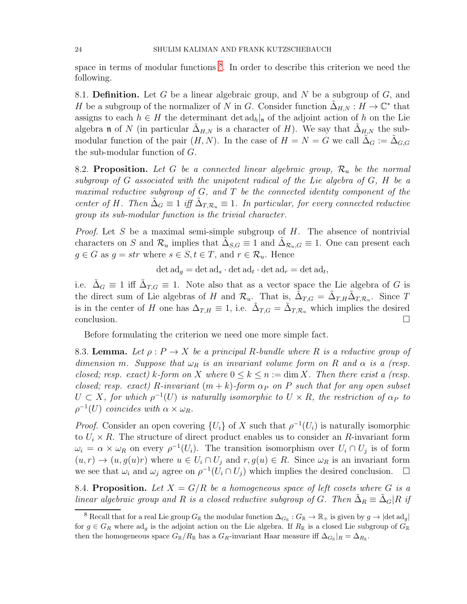space in terms of modular functions<sup>[8](#page-23-1)</sup>. In order to describe this criterion we need the following.

8.1. **Definition.** Let G be a linear algebraic group, and N be a subgroup of  $G$ , and H be a subgroup of the normalizer of N in G. Consider function  $\tilde{\Delta}_{H,N}: H \to \mathbb{C}^*$  that assigns to each  $h \in H$  the determinant det  $ad_h|_{\mathfrak{n}}$  of the adjoint action of h on the Lie algebra **n** of N (in particular  $\Delta_{H,N}$  is a character of H). We say that  $\Delta_{H,N}$  the submodular function of the pair  $(H, N)$ . In the case of  $H = N = G$  we call  $\Delta_G := \Delta_{G, G}$ the sub-modular function of G.

<span id="page-23-2"></span>8.2. Proposition. Let G be a connected linear algebraic group,  $\mathcal{R}_u$  be the normal subgroup of G associated with the unipotent radical of the Lie algebra of G, H be a maximal reductive subgroup of  $G$ , and  $T$  be the connected identity component of the center of H. Then  $\tilde{\Delta}_G \equiv 1$  iff  $\tilde{\Delta}_{T,\mathcal{R}_u} \equiv 1$ . In particular, for every connected reductive group its sub-modular function is the trivial character.

*Proof.* Let S be a maximal semi-simple subgroup of  $H$ . The absence of nontrivial characters on S and  $\mathcal{R}_u$  implies that  $\tilde{\Delta}_{S,G} \equiv 1$  and  $\tilde{\Delta}_{\mathcal{R}_u,G} \equiv 1$ . One can present each  $g \in G$  as  $g = str$  where  $s \in S, t \in T$ , and  $r \in \mathcal{R}_u$ . Hence

 $\det \mathrm{ad}_g = \det \mathrm{ad}_s \cdot \det \mathrm{ad}_t \cdot \det \mathrm{ad}_r = \det \mathrm{ad}_t,$ 

i.e.  $\tilde{\Delta}_G \equiv 1$  iff  $\tilde{\Delta}_{T,G} \equiv 1$ . Note also that as a vector space the Lie algebra of G is the direct sum of Lie algebras of H and  $\mathcal{R}_{u}$ . That is,  $\tilde{\Delta}_{T,G} = \tilde{\Delta}_{T,H} \tilde{\Delta}_{T,\mathcal{R}_u}$ . Since T is in the center of H one has  $\Delta_{T,H} \equiv 1$ , i.e.  $\tilde{\Delta}_{T,G} = \tilde{\Delta}_{T,R_u}$  which implies the desired conclusion.

Before formulating the criterion we need one more simple fact.

<span id="page-23-3"></span>8.3. Lemma. Let  $\rho: P \to X$  be a principal R-bundle where R is a reductive group of dimension m. Suppose that  $\omega_R$  is an invariant volume form on R and  $\alpha$  is a (resp. closed; resp. exact) k-form on X where  $0 \le k \le n := \dim X$ . Then there exist a (resp. closed; resp. exact) R-invariant  $(m + k)$ -form  $\alpha_P$  on P such that for any open subset  $U \subset X$ , for which  $\rho^{-1}(U)$  is naturally isomorphic to  $U \times R$ , the restriction of  $\alpha_P$  to  $\rho^{-1}(U)$  coincides with  $\alpha \times \omega_R$ .

*Proof.* Consider an open covering  $\{U_i\}$  of X such that  $\rho^{-1}(U_i)$  is naturally isomorphic to  $U_i \times R$ . The structure of direct product enables us to consider an R-invariant form  $\omega_i = \alpha \times \omega_R$  on every  $\rho^{-1}(U_i)$ . The transition isomorphism over  $U_i \cap U_j$  is of form  $(u, r) \to (u, g(u)r)$  where  $u \in U_i \cap U_j$  and  $r, g(u) \in R$ . Since  $\omega_R$  is an invariant form we see that  $\omega_i$  and  $\omega_j$  agree on  $\rho^{-1}(\tilde{U}_i \cap U_j)$  which implies the desired conclusion.  $\Box$ 

<span id="page-23-0"></span>8.4. Proposition. Let  $X = G/R$  be a homogeneous space of left cosets where G is a linear algebraic group and R is a closed reductive subgroup of G. Then  $\tilde{\Delta}_R \equiv \tilde{\Delta}_G | R$  if

<span id="page-23-1"></span><sup>&</sup>lt;sup>8</sup> Recall that for a real Lie group  $G_{\mathbb{R}}$  the modular function  $\Delta_{G_{\mathbb{R}}}: G_{\mathbb{R}} \to \mathbb{R}_+$  is given by  $g \to |\text{det ad}_g|$ for  $g \in G_R$  where adg is the adjoint action on the Lie algebra. If  $R_\mathbb{R}$  is a closed Lie subgroup of  $G_\mathbb{R}$ then the homogeneous space  $G_{\mathbb{R}}/R_{\mathbb{R}}$  has a  $G_R$ -invariant Haar measure iff  $\Delta_{G_{\mathbb{R}}}|_R = \Delta_{R_{\mathbb{R}}}$ .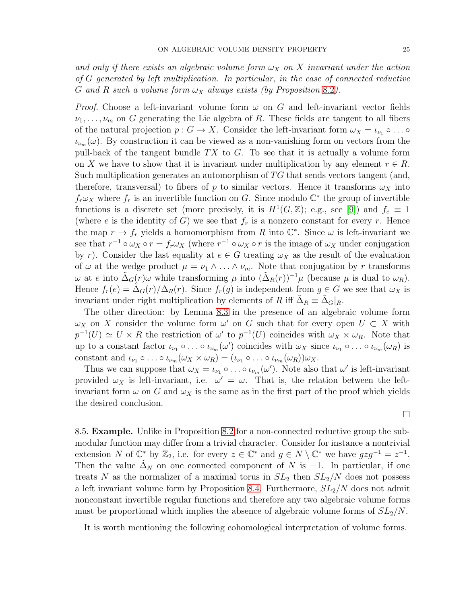and only if there exists an algebraic volume form  $\omega_X$  on X invariant under the action of G generated by left multiplication. In particular, in the case of connected reductive G and R such a volume form  $\omega_X$  always exists (by Proposition [8.2](#page-23-2)).

*Proof.* Choose a left-invariant volume form  $\omega$  on G and left-invariant vector fields  $\nu_1, \ldots, \nu_m$  on G generating the Lie algebra of R. These fields are tangent to all fibers of the natural projection  $p: G \to X$ . Consider the left-invariant form  $\omega_X = \iota_{\nu_1} \circ \ldots \circ$  $\iota_{\nu_m}(\omega)$ . By construction it can be viewed as a non-vanishing form on vectors from the pull-back of the tangent bundle  $TX$  to  $G$ . To see that it is actually a volume form on X we have to show that it is invariant under multiplication by any element  $r \in R$ . Such multiplication generates an automorphism of  $TG$  that sends vectors tangent (and, therefore, transversal) to fibers of p to similar vectors. Hence it transforms  $\omega_X$  into  $f_r \omega_X$  where  $f_r$  is an invertible function on G. Since modulo  $\mathbb{C}^*$  the group of invertible functions is a discrete set (more precisely, it is  $H^1(G, \mathbb{Z})$ ; e.g., see [\[9\]](#page-25-6)) and  $f_e \equiv 1$ (where e is the identity of G) we see that  $f_r$  is a nonzero constant for every r. Hence the map  $r \to f_r$  yields a homomorphism from R into  $\mathbb{C}^*$ . Since  $\omega$  is left-invariant we see that  $r^{-1} \circ \omega_X \circ r = f_r \omega_X$  (where  $r^{-1} \circ \omega_X \circ r$  is the image of  $\omega_X$  under conjugation by r). Consider the last equality at  $e \in G$  treating  $\omega_X$  as the result of the evaluation of  $\omega$  at the wedge product  $\mu = \nu_1 \wedge \ldots \wedge \nu_m$ . Note that conjugation by r transforms  $ω$  at *e* into  $\tilde{Δ}_G(r)ω$  while transforming  $μ$  into  $(\tilde{Δ}_R(r))^{-1}μ$  (because  $μ$  is dual to  $ω_R$ ). Hence  $f_r(e) = \Delta_G(r)/\Delta_R(r)$ . Since  $f_r(g)$  is independent from  $g \in G$  we see that  $\omega_X$  is invariant under right multiplication by elements of R iff  $\tilde{\Delta}_R \equiv \tilde{\Delta}_G|_R$ .

The other direction: by Lemma [8.3](#page-23-3) in the presence of an algebraic volume form  $\omega_X$  on X consider the volume form  $\omega'$  on G such that for every open  $U \subset X$  with  $p^{-1}(U) \simeq U \times R$  the restriction of  $\omega'$  to  $p^{-1}(U)$  coincides with  $\omega_X \times \omega_R$ . Note that up to a constant factor  $\iota_{\nu_1} \circ \ldots \circ \iota_{\nu_m}(\omega')$  coincides with  $\omega_X$  since  $\iota_{\nu_1} \circ \ldots \circ \iota_{\nu_m}(\omega_R)$  is constant and  $\iota_{\nu_1} \circ \ldots \circ \iota_{\nu_m}(\omega_X \times \omega_R) = (\iota_{\nu_1} \circ \ldots \circ \iota_{\nu_m}(\omega_R)) \omega_X.$ 

Thus we can suppose that  $\omega_X = \iota_{\nu_1} \circ \ldots \circ \iota_{\nu_m}(\omega')$ . Note also that  $\omega'$  is left-invariant provided  $\omega_X$  is left-invariant, i.e.  $\omega' = \omega$ . That is, the relation between the leftinvariant form  $\omega$  on G and  $\omega_X$  is the same as in the first part of the proof which yields the desired conclusion.

 $\Box$ 

<span id="page-24-0"></span>8.5. Example. Unlike in Proposition [8.2](#page-23-2) for a non-connected reductive group the submodular function may differ from a trivial character. Consider for instance a nontrivial extension N of  $\mathbb{C}^*$  by  $\mathbb{Z}_2$ , i.e. for every  $z \in \mathbb{C}^*$  and  $g \in N \setminus \mathbb{C}^*$  we have  $gzg^{-1} = z^{-1}$ . Then the value  $\Delta_N$  on one connected component of N is -1. In particular, if one treats N as the normalizer of a maximal torus in  $SL_2$  then  $SL_2/N$  does not possess a left invariant volume form by Proposition [8.4.](#page-23-0) Furthermore,  $SL_2/N$  does not admit nonconstant invertible regular functions and therefore any two algebraic volume forms must be proportional which implies the absence of algebraic volume forms of  $SL_2/N$ .

It is worth mentioning the following cohomological interpretation of volume forms.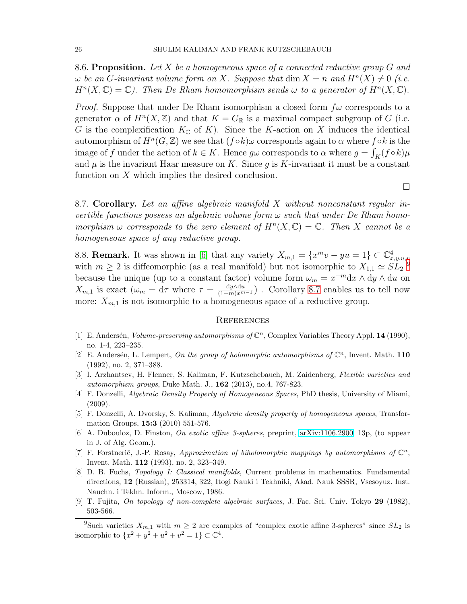8.6. Proposition. Let X be a homogeneous space of a connected reductive group  $G$  and  $\omega$  be an G-invariant volume form on X. Suppose that  $\dim X = n$  and  $H^n(X) \neq 0$  (i.e.  $H^{n}(X,\mathbb{C})=\mathbb{C}$ ). Then De Rham homomorphism sends  $\omega$  to a generator of  $H^{n}(X,\mathbb{C})$ .

*Proof.* Suppose that under De Rham isomorphism a closed form  $f\omega$  corresponds to a generator  $\alpha$  of  $H^n(X,\mathbb{Z})$  and that  $K = G_{\mathbb{R}}$  is a maximal compact subgroup of G (i.e. G is the complexification  $K_{\mathbb{C}}$  of K). Since the K-action on X induces the identical automorphism of  $H^n(G, \mathbb{Z})$  we see that  $(f \circ k) \omega$  corresponds again to  $\alpha$  where  $f \circ k$  is the image of f under the action of  $k \in K$ . Hence  $g\omega$  corresponds to  $\alpha$  where  $g = \int_K (f \circ k) \mu$ and  $\mu$  is the invariant Haar measure on K. Since g is K-invariant it must be a constant function on  $X$  which implies the desired conclusion.

<span id="page-25-7"></span>8.7. Corollary. Let an affine algebraic manifold X without nonconstant regular invertible functions possess an algebraic volume form  $\omega$  such that under De Rham homomorphism  $\omega$  corresponds to the zero element of  $H^n(X,\mathbb{C}) = \mathbb{C}$ . Then X cannot be a homogeneous space of any reductive group.

 $\Box$ 

8.8. **Remark.** It was shown in [\[6\]](#page-25-9) that any variety  $X_{m,1} = \{x^m v - yu = 1\} \subset \mathbb{C}^4_{x,y,u,v}$ <br>with  $m > 2$  is diffeomorphic (as a real manifold) but not isomorphic to  $X_{u,v} \sim SI^{-9}$  $X_{u,v} \sim SI^{-9}$  $X_{u,v} \sim SI^{-9}$ with  $m \geq 2$  is diffeomorphic (as a real manifold) but not isomorphic to  $X_{1,1} \simeq SL_2$ because the unique (up to a constant factor) volume form  $\omega_m = x^{-m} dx \wedge dy \wedge du$  on  $X_{m,1}$  is exact  $(\omega_m = d\tau$  where  $\tau = \frac{dy \wedge du}{(1-m)x^{m-1}})$ . Corollary [8.7](#page-25-7) enables us to tell now more:  $X_{m,1}$  is not isomorphic to a homogeneous space of a reductive group.

#### **REFERENCES**

- <span id="page-25-0"></span>[1] E. Andersén, Volume-preserving automorphisms of  $\mathbb{C}^n$ , Complex Variables Theory Appl. 14 (1990), no. 1-4, 223–235.
- <span id="page-25-1"></span>[2] E. Andersén, L. Lempert, On the group of holomorphic automorphisms of  $\mathbb{C}^n$ , Invent. Math. 110 (1992), no. 2, 371–388.
- <span id="page-25-8"></span>[3] I. Arzhantsev, H. Flenner, S. Kaliman, F. Kutzschebauch, M. Zaidenberg, Flexible varieties and automorphism groups, Duke Math. J., 162 (2013), no.4, 767-823.
- <span id="page-25-4"></span>[4] F. Donzelli, Algebraic Density Property of Homogeneous Spaces, PhD thesis, University of Miami, (2009).
- <span id="page-25-3"></span>[5] F. Donzelli, A. Dvorsky, S. Kaliman, Algebraic density property of homogeneous spaces, Transformation Groups, 15:3 (2010) 551-576.
- <span id="page-25-9"></span>[6] A. Dubouloz, D. Finston, On exotic affine 3-spheres, preprint, [arXiv:1106.2900,](http://arxiv.org/abs/1106.2900) 13p, (to appear in J. of Alg. Geom.).
- <span id="page-25-2"></span>[7] F. Forstnerič, J.-P. Rosay, Approximation of biholomorphic mappings by automorphisms of  $\mathbb{C}^n$ , Invent. Math. 112 (1993), no. 2, 323–349.
- <span id="page-25-5"></span>[8] D. B. Fuchs, Topology I: Classical manifolds, Current problems in mathematics. Fundamental directions, 12 (Russian), 253314, 322, Itogi Nauki i Tekhniki, Akad. Nauk SSSR, Vsesoyuz. Inst. Nauchn. i Tekhn. Inform., Moscow, 1986.
- <span id="page-25-6"></span>[9] T. Fujita, On topology of non-complete algebraic surfaces, J. Fac. Sci. Univ. Tokyo 29 (1982), 503-566.

<span id="page-25-10"></span><sup>&</sup>lt;sup>9</sup>Such varieties  $X_{m,1}$  with  $m \geq 2$  are examples of "complex exotic affine 3-spheres" since  $SL_2$  is isomorphic to  $\{x^2 + y^2 + u^2 + v^2 = 1\} \subset \mathbb{C}^4$ .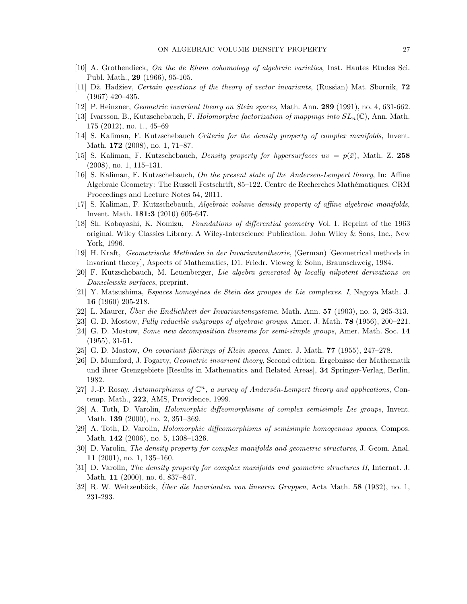- <span id="page-26-21"></span><span id="page-26-9"></span>[10] A. Grothendieck, On the de Rham cohomology of algebraic varieties, Inst. Hautes Etudes Sci. Publ. Math., 29 (1966), 95-105.
- <span id="page-26-17"></span>[11] Dž. Hadžiev, Certain questions of the theory of vector invariants, (Russian) Mat. Sbornik, 72 (1967) 420–435.
- <span id="page-26-8"></span>[12] P. Heinzner, Geometric invariant theory on Stein spaces, Math. Ann. 289 (1991), no. 4, 631-662.
- <span id="page-26-6"></span>[13] Ivarsson, B., Kutzschebauch, F. Holomorphic factorization of mappings into  $SL_n(\mathbb{C})$ , Ann. Math. 175 (2012), no. 1., 45–69
- [14] S. Kaliman, F. Kutzschebauch Criteria for the density property of complex manifolds, Invent. Math. 172 (2008), no. 1, 71–87.
- <span id="page-26-3"></span>[15] S. Kaliman, F. Kutzschebauch, *Density property for hypersurfaces uv =*  $p(\bar{x})$ , Math. Z. 258 (2008), no. 1, 115–131.
- [16] S. Kaliman, F. Kutzschebauch, On the present state of the Andersen-Lempert theory, In: Affine Algebraic Geometry: The Russell Festschrift, 85–122. Centre de Recherches Mathématiques. CRM Proceedings and Lecture Notes 54, 2011.
- <span id="page-26-14"></span><span id="page-26-7"></span>[17] S. Kaliman, F. Kutzschebauch, Algebraic volume density property of affine algebraic manifolds, Invent. Math. 181:3 (2010) 605-647.
- [18] Sh. Kobayashi, K. Nomizu, Foundations of differential geometry Vol. I. Reprint of the 1963 original. Wiley Classics Library. A Wiley-Interscience Publication. John Wiley & Sons, Inc., New York, 1996.
- <span id="page-26-20"></span><span id="page-26-12"></span>[19] H. Kraft, Geometrische Methoden in der Invariantentheorie, (German) [Geometrical methods in invariant theory], Aspects of Mathematics, D1. Friedr. Vieweg & Sohn, Braunschweig, 1984.
- <span id="page-26-18"></span>[20] F. Kutzschebauch, M. Leuenberger, Lie algebra generated by locally nilpotent derivations on Danielewski surfaces, preprint.
- <span id="page-26-10"></span>[21] Y. Matsushima, Espaces homogènes de Stein des groupes de Lie complexes. I, Nagoya Math. J. 16 (1960) 205-218.
- <span id="page-26-19"></span> $[22]$  L. Maurer, *Über die Endlichkeit der Invariantensysteme*, Math. Ann. **57** (1903), no. 3, 265-313.
- <span id="page-26-15"></span>[23] G. D. Mostow, Fully reducible subgroups of algebraic groups, Amer. J. Math. 78 (1956), 200–221.
- <span id="page-26-16"></span>[24] G. D. Mostow, Some new decomposition theorems for semi-simple groups, Amer. Math. Soc. 14 (1955), 31-51.
- <span id="page-26-13"></span>[25] G. D. Mostow, On covariant fiberings of Klein spaces, Amer. J. Math. 77 (1955), 247–278.
- [26] D. Mumford, J. Fogarty, Geometric invariant theory, Second edition. Ergebnisse der Mathematik und ihrer Grenzgebiete [Results in Mathematics and Related Areas], 34 Springer-Verlag, Berlin, 1982.
- <span id="page-26-1"></span>[27] J.-P. Rosay, Automorphisms of  $\mathbb{C}^n$ , a survey of Andersén-Lempert theory and applications, Contemp. Math., 222, AMS, Providence, 1999.
- <span id="page-26-4"></span>[28] A. Toth, D. Varolin, Holomorphic diffeomorphisms of complex semisimple Lie groups, Invent. Math. 139 (2000), no. 2, 351–369.
- <span id="page-26-5"></span>[29] A. Toth, D. Varolin, Holomorphic diffeomorphisms of semisimple homogenous spaces, Compos. Math. 142 (2006), no. 5, 1308–1326.
- <span id="page-26-0"></span>[30] D. Varolin, The density property for complex manifolds and geometric structures, J. Geom. Anal. 11 (2001), no. 1, 135–160.
- <span id="page-26-2"></span>[31] D. Varolin, The density property for complex manifolds and geometric structures II, Internat. J. Math. 11 (2000), no. 6, 837–847.
- <span id="page-26-11"></span>[32] R. W. Weitzenböck, Über die Invarianten von linearen Gruppen, Acta Math. 58 (1932), no. 1, 231-293.